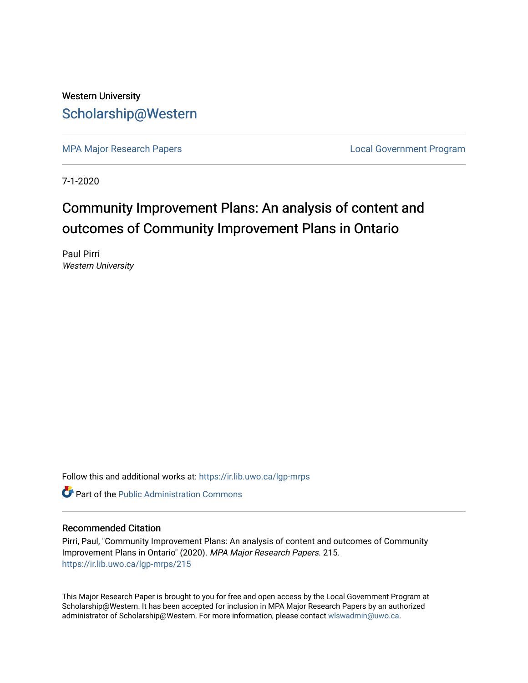## Western University [Scholarship@Western](https://ir.lib.uwo.ca/)

[MPA Major Research Papers](https://ir.lib.uwo.ca/lgp-mrps) **Local Government Program** 

7-1-2020

# Community Improvement Plans: An analysis of content and outcomes of Community Improvement Plans in Ontario

Paul Pirri Western University

Follow this and additional works at: [https://ir.lib.uwo.ca/lgp-mrps](https://ir.lib.uwo.ca/lgp-mrps?utm_source=ir.lib.uwo.ca%2Flgp-mrps%2F215&utm_medium=PDF&utm_campaign=PDFCoverPages) 

**C** Part of the [Public Administration Commons](http://network.bepress.com/hgg/discipline/398?utm_source=ir.lib.uwo.ca%2Flgp-mrps%2F215&utm_medium=PDF&utm_campaign=PDFCoverPages)

#### Recommended Citation

Pirri, Paul, "Community Improvement Plans: An analysis of content and outcomes of Community Improvement Plans in Ontario" (2020). MPA Major Research Papers. 215. [https://ir.lib.uwo.ca/lgp-mrps/215](https://ir.lib.uwo.ca/lgp-mrps/215?utm_source=ir.lib.uwo.ca%2Flgp-mrps%2F215&utm_medium=PDF&utm_campaign=PDFCoverPages) 

This Major Research Paper is brought to you for free and open access by the Local Government Program at Scholarship@Western. It has been accepted for inclusion in MPA Major Research Papers by an authorized administrator of Scholarship@Western. For more information, please contact [wlswadmin@uwo.ca](mailto:wlswadmin@uwo.ca).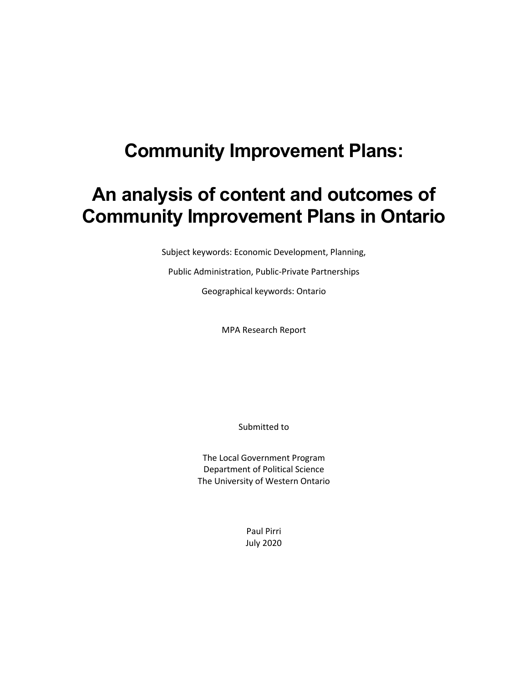# **Community Improvement Plans:**

# **An analysis of content and outcomes of Community Improvement Plans in Ontario**

Subject keywords: Economic Development, Planning,

Public Administration, Public-Private Partnerships

Geographical keywords: Ontario

MPA Research Report

Submitted to

The Local Government Program Department of Political Science The University of Western Ontario

> Paul Pirri July 2020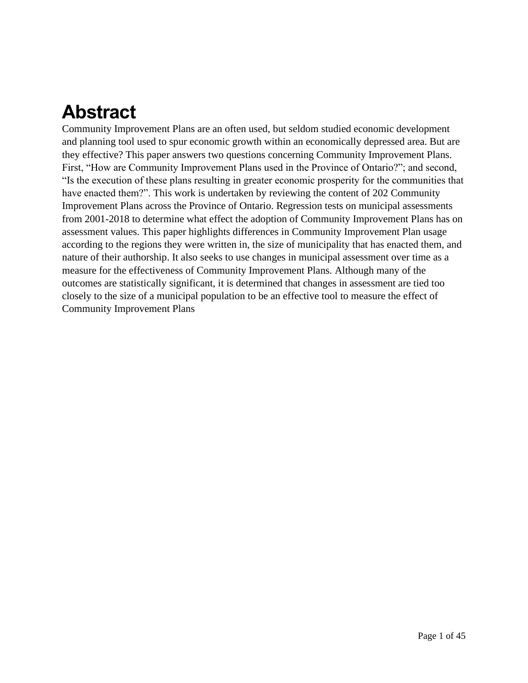# **Abstract**

Community Improvement Plans are an often used, but seldom studied economic development and planning tool used to spur economic growth within an economically depressed area. But are they effective? This paper answers two questions concerning Community Improvement Plans. First, "How are Community Improvement Plans used in the Province of Ontario?"; and second, "Is the execution of these plans resulting in greater economic prosperity for the communities that have enacted them?". This work is undertaken by reviewing the content of 202 Community Improvement Plans across the Province of Ontario. Regression tests on municipal assessments from 2001-2018 to determine what effect the adoption of Community Improvement Plans has on assessment values. This paper highlights differences in Community Improvement Plan usage according to the regions they were written in, the size of municipality that has enacted them, and nature of their authorship. It also seeks to use changes in municipal assessment over time as a measure for the effectiveness of Community Improvement Plans. Although many of the outcomes are statistically significant, it is determined that changes in assessment are tied too closely to the size of a municipal population to be an effective tool to measure the effect of Community Improvement Plans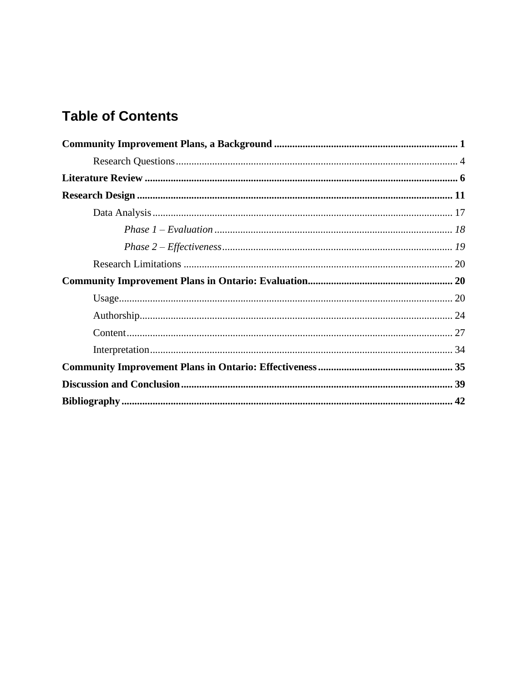## **Table of Contents**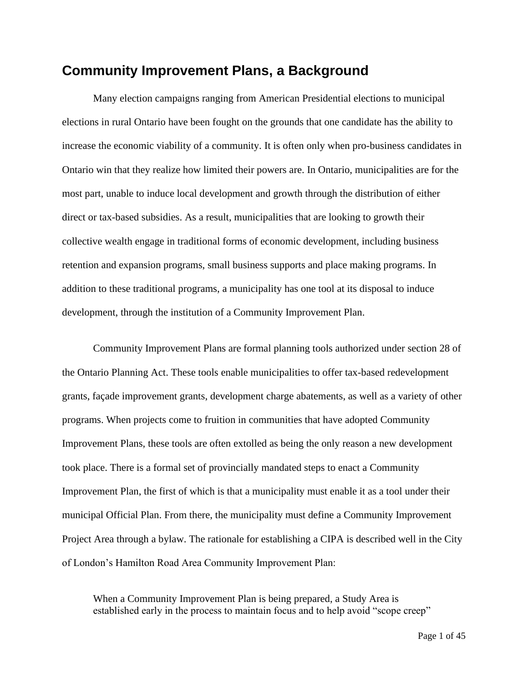## <span id="page-4-0"></span>**Community Improvement Plans, a Background**

Many election campaigns ranging from American Presidential elections to municipal elections in rural Ontario have been fought on the grounds that one candidate has the ability to increase the economic viability of a community. It is often only when pro-business candidates in Ontario win that they realize how limited their powers are. In Ontario, municipalities are for the most part, unable to induce local development and growth through the distribution of either direct or tax-based subsidies. As a result, municipalities that are looking to growth their collective wealth engage in traditional forms of economic development, including business retention and expansion programs, small business supports and place making programs. In addition to these traditional programs, a municipality has one tool at its disposal to induce development, through the institution of a Community Improvement Plan.

Community Improvement Plans are formal planning tools authorized under section 28 of the Ontario Planning Act. These tools enable municipalities to offer tax-based redevelopment grants, façade improvement grants, development charge abatements, as well as a variety of other programs. When projects come to fruition in communities that have adopted Community Improvement Plans, these tools are often extolled as being the only reason a new development took place. There is a formal set of provincially mandated steps to enact a Community Improvement Plan, the first of which is that a municipality must enable it as a tool under their municipal Official Plan. From there, the municipality must define a Community Improvement Project Area through a bylaw. The rationale for establishing a CIPA is described well in the City of London's Hamilton Road Area Community Improvement Plan:

When a Community Improvement Plan is being prepared, a Study Area is established early in the process to maintain focus and to help avoid "scope creep"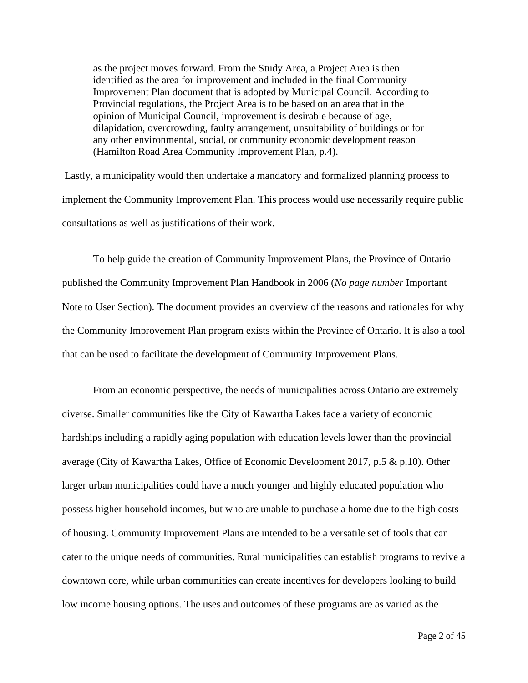as the project moves forward. From the Study Area, a Project Area is then identified as the area for improvement and included in the final Community Improvement Plan document that is adopted by Municipal Council. According to Provincial regulations, the Project Area is to be based on an area that in the opinion of Municipal Council, improvement is desirable because of age, dilapidation, overcrowding, faulty arrangement, unsuitability of buildings or for any other environmental, social, or community economic development reason (Hamilton Road Area Community Improvement Plan, p.4).

Lastly, a municipality would then undertake a mandatory and formalized planning process to implement the Community Improvement Plan. This process would use necessarily require public consultations as well as justifications of their work.

To help guide the creation of Community Improvement Plans, the Province of Ontario published the Community Improvement Plan Handbook in 2006 (*No page number* Important Note to User Section). The document provides an overview of the reasons and rationales for why the Community Improvement Plan program exists within the Province of Ontario. It is also a tool that can be used to facilitate the development of Community Improvement Plans.

From an economic perspective, the needs of municipalities across Ontario are extremely diverse. Smaller communities like the City of Kawartha Lakes face a variety of economic hardships including a rapidly aging population with education levels lower than the provincial average (City of Kawartha Lakes, Office of Economic Development 2017, p.5 & p.10). Other larger urban municipalities could have a much younger and highly educated population who possess higher household incomes, but who are unable to purchase a home due to the high costs of housing. Community Improvement Plans are intended to be a versatile set of tools that can cater to the unique needs of communities. Rural municipalities can establish programs to revive a downtown core, while urban communities can create incentives for developers looking to build low income housing options. The uses and outcomes of these programs are as varied as the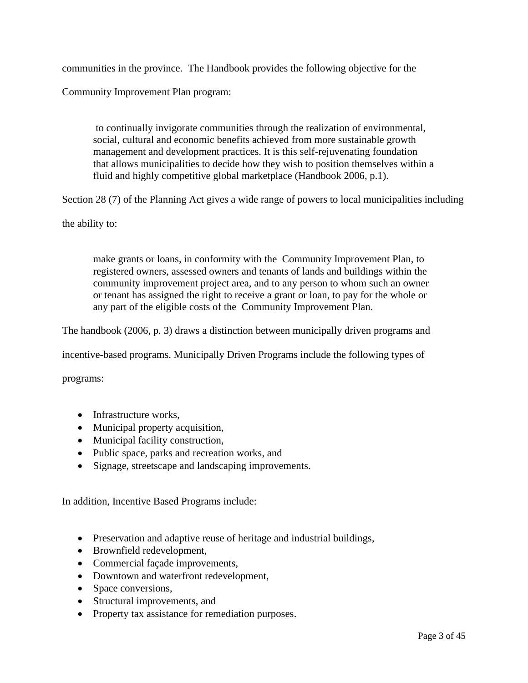communities in the province. The Handbook provides the following objective for the

Community Improvement Plan program:

to continually invigorate communities through the realization of environmental, social, cultural and economic benefits achieved from more sustainable growth management and development practices. It is this self-rejuvenating foundation that allows municipalities to decide how they wish to position themselves within a fluid and highly competitive global marketplace (Handbook 2006, p.1).

Section 28 (7) of the Planning Act gives a wide range of powers to local municipalities including

the ability to:

make grants or loans, in conformity with the Community Improvement Plan, to registered owners, assessed owners and tenants of lands and buildings within the community improvement project area, and to any person to whom such an owner or tenant has assigned the right to receive a grant or loan, to pay for the whole or any part of the eligible costs of the Community Improvement Plan.

The handbook (2006, p. 3) draws a distinction between municipally driven programs and

incentive-based programs. Municipally Driven Programs include the following types of

programs:

- Infrastructure works,
- Municipal property acquisition,
- Municipal facility construction,
- Public space, parks and recreation works, and
- Signage, streetscape and landscaping improvements.

In addition, Incentive Based Programs include:

- Preservation and adaptive reuse of heritage and industrial buildings,
- Brownfield redevelopment,
- Commercial façade improvements,
- Downtown and waterfront redevelopment,
- Space conversions,
- Structural improvements, and
- Property tax assistance for remediation purposes.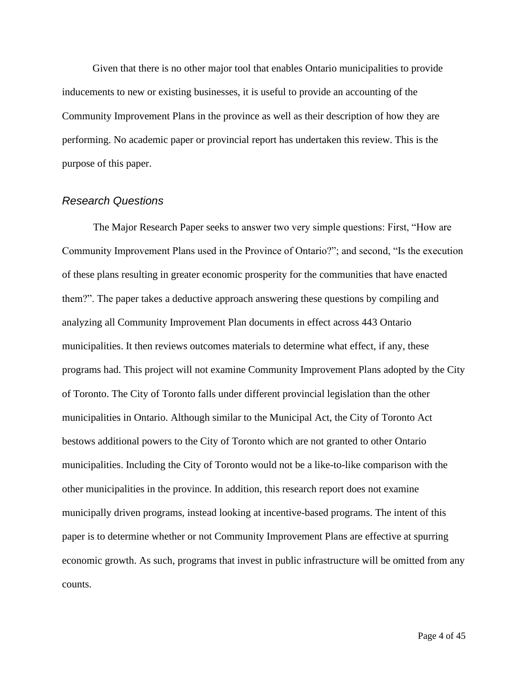Given that there is no other major tool that enables Ontario municipalities to provide inducements to new or existing businesses, it is useful to provide an accounting of the Community Improvement Plans in the province as well as their description of how they are performing. No academic paper or provincial report has undertaken this review. This is the purpose of this paper.

#### <span id="page-7-0"></span>*Research Questions*

The Major Research Paper seeks to answer two very simple questions: First, "How are Community Improvement Plans used in the Province of Ontario?"; and second, "Is the execution of these plans resulting in greater economic prosperity for the communities that have enacted them?". The paper takes a deductive approach answering these questions by compiling and analyzing all Community Improvement Plan documents in effect across 443 Ontario municipalities. It then reviews outcomes materials to determine what effect, if any, these programs had. This project will not examine Community Improvement Plans adopted by the City of Toronto. The City of Toronto falls under different provincial legislation than the other municipalities in Ontario. Although similar to the Municipal Act, the City of Toronto Act bestows additional powers to the City of Toronto which are not granted to other Ontario municipalities. Including the City of Toronto would not be a like-to-like comparison with the other municipalities in the province. In addition, this research report does not examine municipally driven programs, instead looking at incentive-based programs. The intent of this paper is to determine whether or not Community Improvement Plans are effective at spurring economic growth. As such, programs that invest in public infrastructure will be omitted from any counts.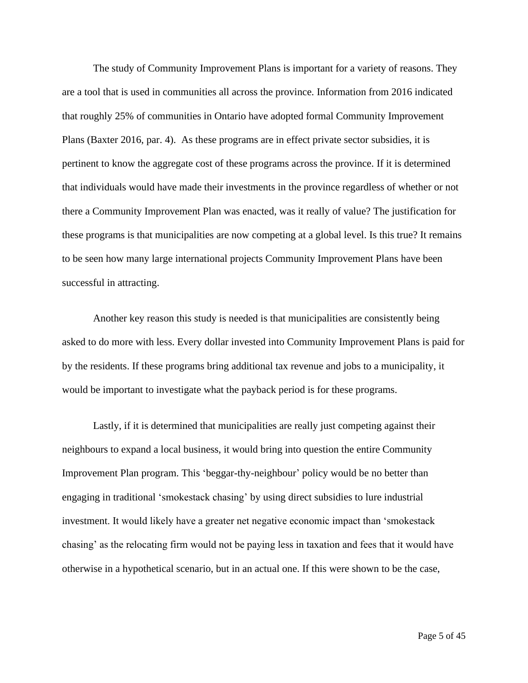The study of Community Improvement Plans is important for a variety of reasons. They are a tool that is used in communities all across the province. Information from 2016 indicated that roughly 25% of communities in Ontario have adopted formal Community Improvement Plans (Baxter 2016, par. 4). As these programs are in effect private sector subsidies, it is pertinent to know the aggregate cost of these programs across the province. If it is determined that individuals would have made their investments in the province regardless of whether or not there a Community Improvement Plan was enacted, was it really of value? The justification for these programs is that municipalities are now competing at a global level. Is this true? It remains to be seen how many large international projects Community Improvement Plans have been successful in attracting.

Another key reason this study is needed is that municipalities are consistently being asked to do more with less. Every dollar invested into Community Improvement Plans is paid for by the residents. If these programs bring additional tax revenue and jobs to a municipality, it would be important to investigate what the payback period is for these programs.

Lastly, if it is determined that municipalities are really just competing against their neighbours to expand a local business, it would bring into question the entire Community Improvement Plan program. This 'beggar-thy-neighbour' policy would be no better than engaging in traditional 'smokestack chasing' by using direct subsidies to lure industrial investment. It would likely have a greater net negative economic impact than 'smokestack chasing' as the relocating firm would not be paying less in taxation and fees that it would have otherwise in a hypothetical scenario, but in an actual one. If this were shown to be the case,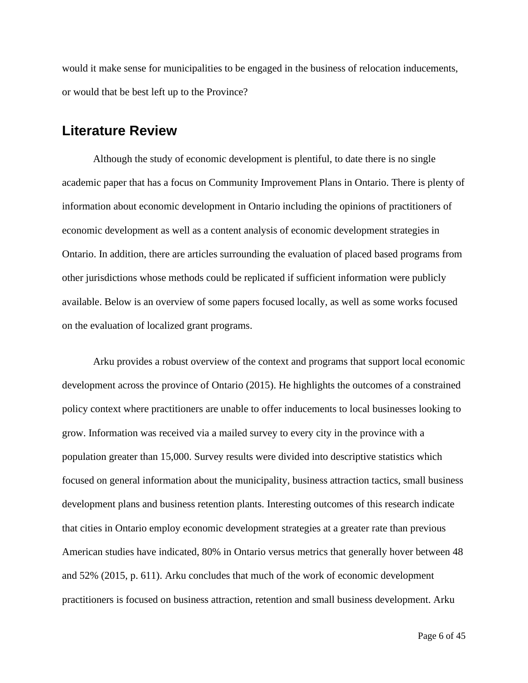would it make sense for municipalities to be engaged in the business of relocation inducements, or would that be best left up to the Province?

### <span id="page-9-0"></span>**Literature Review**

Although the study of economic development is plentiful, to date there is no single academic paper that has a focus on Community Improvement Plans in Ontario. There is plenty of information about economic development in Ontario including the opinions of practitioners of economic development as well as a content analysis of economic development strategies in Ontario. In addition, there are articles surrounding the evaluation of placed based programs from other jurisdictions whose methods could be replicated if sufficient information were publicly available. Below is an overview of some papers focused locally, as well as some works focused on the evaluation of localized grant programs.

Arku provides a robust overview of the context and programs that support local economic development across the province of Ontario (2015). He highlights the outcomes of a constrained policy context where practitioners are unable to offer inducements to local businesses looking to grow. Information was received via a mailed survey to every city in the province with a population greater than 15,000. Survey results were divided into descriptive statistics which focused on general information about the municipality, business attraction tactics, small business development plans and business retention plants. Interesting outcomes of this research indicate that cities in Ontario employ economic development strategies at a greater rate than previous American studies have indicated, 80% in Ontario versus metrics that generally hover between 48 and 52% (2015, p. 611). Arku concludes that much of the work of economic development practitioners is focused on business attraction, retention and small business development. Arku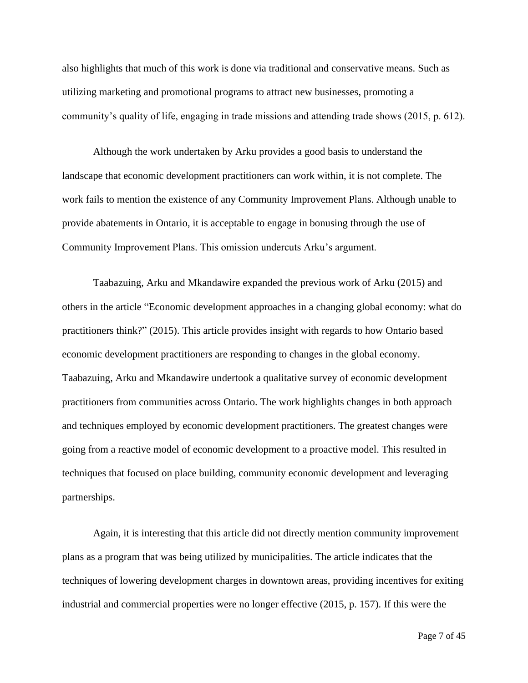also highlights that much of this work is done via traditional and conservative means. Such as utilizing marketing and promotional programs to attract new businesses, promoting a community's quality of life, engaging in trade missions and attending trade shows (2015, p. 612).

Although the work undertaken by Arku provides a good basis to understand the landscape that economic development practitioners can work within, it is not complete. The work fails to mention the existence of any Community Improvement Plans. Although unable to provide abatements in Ontario, it is acceptable to engage in bonusing through the use of Community Improvement Plans. This omission undercuts Arku's argument.

Taabazuing, Arku and Mkandawire expanded the previous work of Arku (2015) and others in the article "Economic development approaches in a changing global economy: what do practitioners think?" (2015). This article provides insight with regards to how Ontario based economic development practitioners are responding to changes in the global economy. Taabazuing, Arku and Mkandawire undertook a qualitative survey of economic development practitioners from communities across Ontario. The work highlights changes in both approach and techniques employed by economic development practitioners. The greatest changes were going from a reactive model of economic development to a proactive model. This resulted in techniques that focused on place building, community economic development and leveraging partnerships.

Again, it is interesting that this article did not directly mention community improvement plans as a program that was being utilized by municipalities. The article indicates that the techniques of lowering development charges in downtown areas, providing incentives for exiting industrial and commercial properties were no longer effective (2015, p. 157). If this were the

Page 7 of 45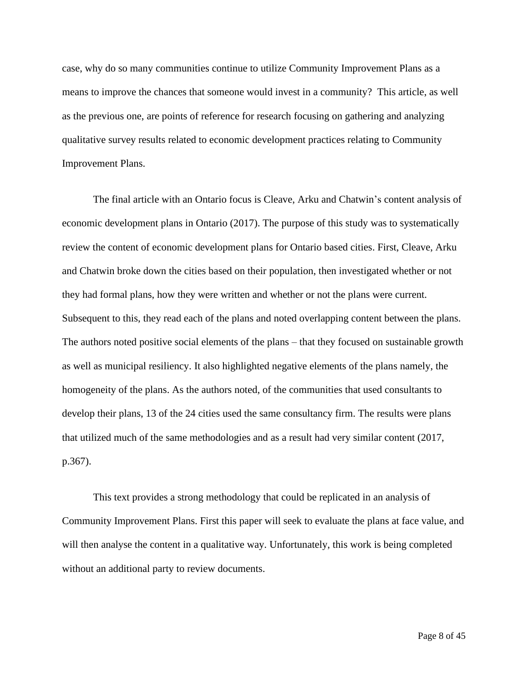case, why do so many communities continue to utilize Community Improvement Plans as a means to improve the chances that someone would invest in a community? This article, as well as the previous one, are points of reference for research focusing on gathering and analyzing qualitative survey results related to economic development practices relating to Community Improvement Plans.

The final article with an Ontario focus is Cleave, Arku and Chatwin's content analysis of economic development plans in Ontario (2017). The purpose of this study was to systematically review the content of economic development plans for Ontario based cities. First, Cleave, Arku and Chatwin broke down the cities based on their population, then investigated whether or not they had formal plans, how they were written and whether or not the plans were current. Subsequent to this, they read each of the plans and noted overlapping content between the plans. The authors noted positive social elements of the plans – that they focused on sustainable growth as well as municipal resiliency. It also highlighted negative elements of the plans namely, the homogeneity of the plans. As the authors noted, of the communities that used consultants to develop their plans, 13 of the 24 cities used the same consultancy firm. The results were plans that utilized much of the same methodologies and as a result had very similar content (2017, p.367).

This text provides a strong methodology that could be replicated in an analysis of Community Improvement Plans. First this paper will seek to evaluate the plans at face value, and will then analyse the content in a qualitative way. Unfortunately, this work is being completed without an additional party to review documents.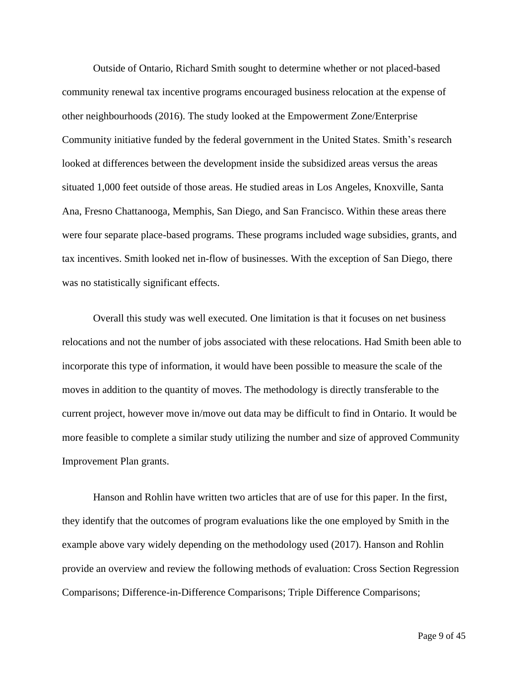Outside of Ontario, Richard Smith sought to determine whether or not placed-based community renewal tax incentive programs encouraged business relocation at the expense of other neighbourhoods (2016). The study looked at the Empowerment Zone/Enterprise Community initiative funded by the federal government in the United States. Smith's research looked at differences between the development inside the subsidized areas versus the areas situated 1,000 feet outside of those areas. He studied areas in Los Angeles, Knoxville, Santa Ana, Fresno Chattanooga, Memphis, San Diego, and San Francisco. Within these areas there were four separate place-based programs. These programs included wage subsidies, grants, and tax incentives. Smith looked net in-flow of businesses. With the exception of San Diego, there was no statistically significant effects.

Overall this study was well executed. One limitation is that it focuses on net business relocations and not the number of jobs associated with these relocations. Had Smith been able to incorporate this type of information, it would have been possible to measure the scale of the moves in addition to the quantity of moves. The methodology is directly transferable to the current project, however move in/move out data may be difficult to find in Ontario. It would be more feasible to complete a similar study utilizing the number and size of approved Community Improvement Plan grants.

Hanson and Rohlin have written two articles that are of use for this paper. In the first, they identify that the outcomes of program evaluations like the one employed by Smith in the example above vary widely depending on the methodology used (2017). Hanson and Rohlin provide an overview and review the following methods of evaluation: Cross Section Regression Comparisons; Difference-in-Difference Comparisons; Triple Difference Comparisons;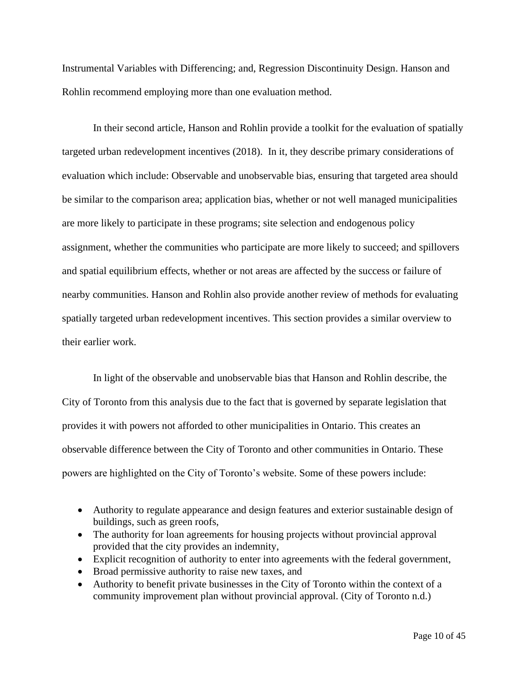Instrumental Variables with Differencing; and, Regression Discontinuity Design. Hanson and Rohlin recommend employing more than one evaluation method.

In their second article, Hanson and Rohlin provide a toolkit for the evaluation of spatially targeted urban redevelopment incentives (2018). In it, they describe primary considerations of evaluation which include: Observable and unobservable bias, ensuring that targeted area should be similar to the comparison area; application bias, whether or not well managed municipalities are more likely to participate in these programs; site selection and endogenous policy assignment, whether the communities who participate are more likely to succeed; and spillovers and spatial equilibrium effects, whether or not areas are affected by the success or failure of nearby communities. Hanson and Rohlin also provide another review of methods for evaluating spatially targeted urban redevelopment incentives. This section provides a similar overview to their earlier work.

In light of the observable and unobservable bias that Hanson and Rohlin describe, the City of Toronto from this analysis due to the fact that is governed by separate legislation that provides it with powers not afforded to other municipalities in Ontario. This creates an observable difference between the City of Toronto and other communities in Ontario. These powers are highlighted on the City of Toronto's website. Some of these powers include:

- Authority to regulate appearance and design features and exterior sustainable design of buildings, such as green roofs,
- The authority for loan agreements for housing projects without provincial approval provided that the city provides an indemnity,
- Explicit recognition of authority to enter into agreements with the federal government,
- Broad permissive authority to raise new taxes, and
- Authority to benefit private businesses in the City of Toronto within the context of a community improvement plan without provincial approval. (City of Toronto n.d.)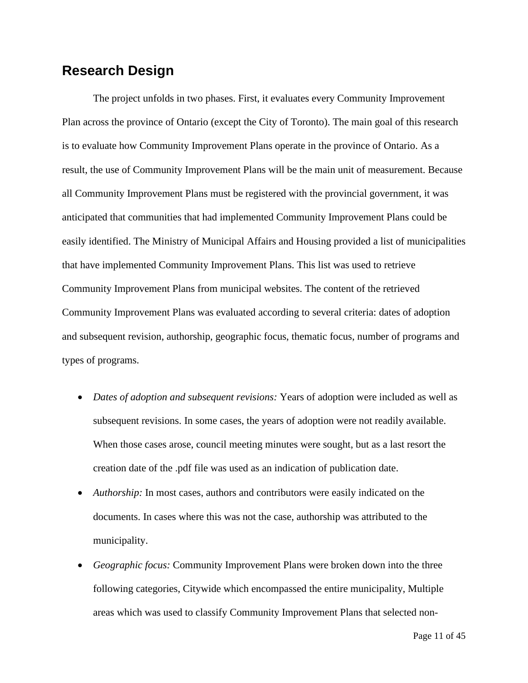## <span id="page-14-0"></span>**Research Design**

The project unfolds in two phases. First, it evaluates every Community Improvement Plan across the province of Ontario (except the City of Toronto). The main goal of this research is to evaluate how Community Improvement Plans operate in the province of Ontario. As a result, the use of Community Improvement Plans will be the main unit of measurement. Because all Community Improvement Plans must be registered with the provincial government, it was anticipated that communities that had implemented Community Improvement Plans could be easily identified. The Ministry of Municipal Affairs and Housing provided a list of municipalities that have implemented Community Improvement Plans. This list was used to retrieve Community Improvement Plans from municipal websites. The content of the retrieved Community Improvement Plans was evaluated according to several criteria: dates of adoption and subsequent revision, authorship, geographic focus, thematic focus, number of programs and types of programs.

- *Dates of adoption and subsequent revisions:* Years of adoption were included as well as subsequent revisions. In some cases, the years of adoption were not readily available. When those cases arose, council meeting minutes were sought, but as a last resort the creation date of the .pdf file was used as an indication of publication date.
- *Authorship:* In most cases, authors and contributors were easily indicated on the documents. In cases where this was not the case, authorship was attributed to the municipality.
- *Geographic focus:* Community Improvement Plans were broken down into the three following categories, Citywide which encompassed the entire municipality, Multiple areas which was used to classify Community Improvement Plans that selected non-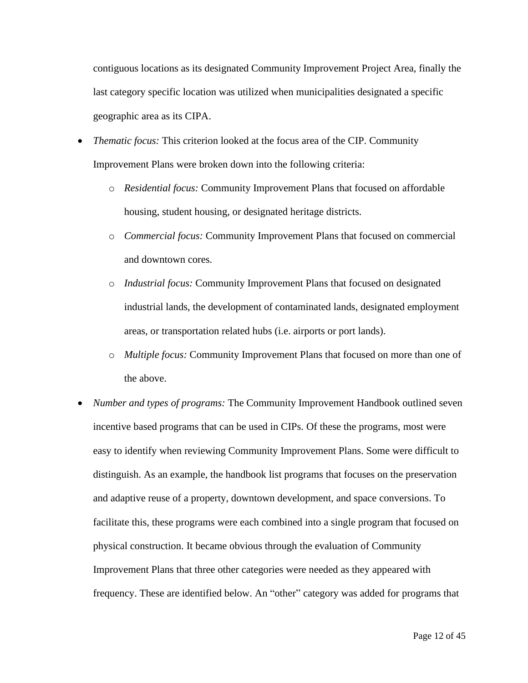contiguous locations as its designated Community Improvement Project Area, finally the last category specific location was utilized when municipalities designated a specific geographic area as its CIPA.

- *Thematic focus:* This criterion looked at the focus area of the CIP. Community Improvement Plans were broken down into the following criteria:
	- o *Residential focus:* Community Improvement Plans that focused on affordable housing, student housing, or designated heritage districts.
	- o *Commercial focus:* Community Improvement Plans that focused on commercial and downtown cores.
	- o *Industrial focus:* Community Improvement Plans that focused on designated industrial lands, the development of contaminated lands, designated employment areas, or transportation related hubs (i.e. airports or port lands).
	- o *Multiple focus:* Community Improvement Plans that focused on more than one of the above.
- *Number and types of programs:* The Community Improvement Handbook outlined seven incentive based programs that can be used in CIPs. Of these the programs, most were easy to identify when reviewing Community Improvement Plans. Some were difficult to distinguish. As an example, the handbook list programs that focuses on the preservation and adaptive reuse of a property, downtown development, and space conversions. To facilitate this, these programs were each combined into a single program that focused on physical construction. It became obvious through the evaluation of Community Improvement Plans that three other categories were needed as they appeared with frequency. These are identified below. An "other" category was added for programs that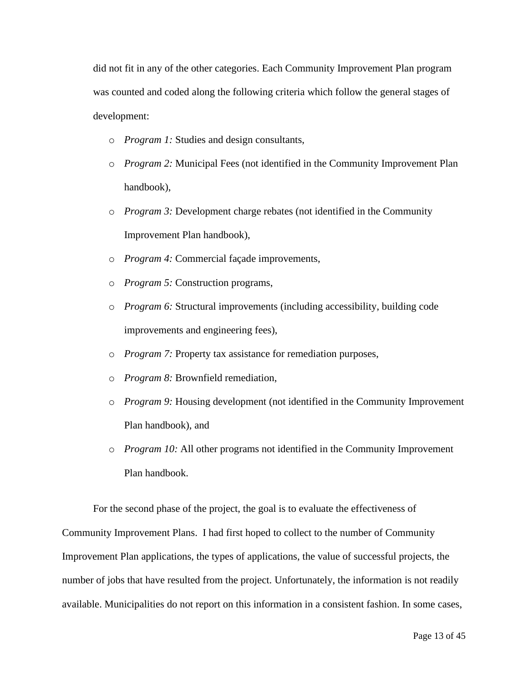did not fit in any of the other categories. Each Community Improvement Plan program was counted and coded along the following criteria which follow the general stages of development:

- o *Program 1:* Studies and design consultants,
- o *Program 2:* Municipal Fees (not identified in the Community Improvement Plan handbook),
- o *Program 3:* Development charge rebates (not identified in the Community Improvement Plan handbook),
- o *Program 4:* Commercial façade improvements,
- o *Program 5:* Construction programs,
- o *Program 6:* Structural improvements (including accessibility, building code improvements and engineering fees),
- o *Program 7:* Property tax assistance for remediation purposes,
- o *Program 8:* Brownfield remediation,
- o *Program 9:* Housing development (not identified in the Community Improvement Plan handbook), and
- o *Program 10:* All other programs not identified in the Community Improvement Plan handbook.

For the second phase of the project, the goal is to evaluate the effectiveness of Community Improvement Plans. I had first hoped to collect to the number of Community Improvement Plan applications, the types of applications, the value of successful projects, the number of jobs that have resulted from the project. Unfortunately, the information is not readily available. Municipalities do not report on this information in a consistent fashion. In some cases,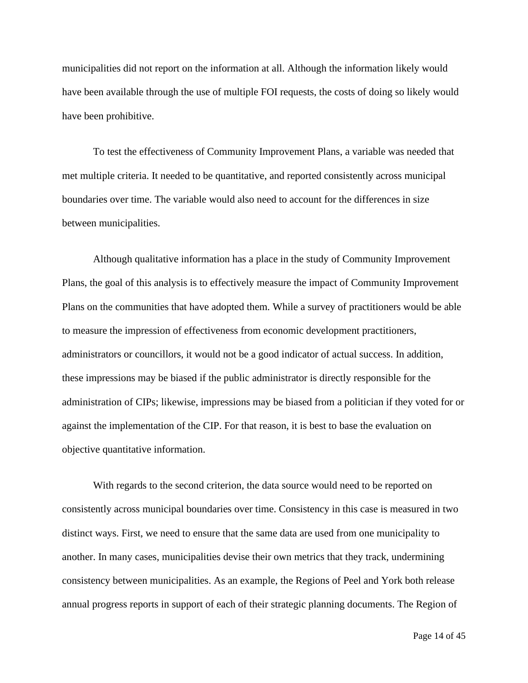municipalities did not report on the information at all. Although the information likely would have been available through the use of multiple FOI requests, the costs of doing so likely would have been prohibitive.

To test the effectiveness of Community Improvement Plans, a variable was needed that met multiple criteria. It needed to be quantitative, and reported consistently across municipal boundaries over time. The variable would also need to account for the differences in size between municipalities.

Although qualitative information has a place in the study of Community Improvement Plans, the goal of this analysis is to effectively measure the impact of Community Improvement Plans on the communities that have adopted them. While a survey of practitioners would be able to measure the impression of effectiveness from economic development practitioners, administrators or councillors, it would not be a good indicator of actual success. In addition, these impressions may be biased if the public administrator is directly responsible for the administration of CIPs; likewise, impressions may be biased from a politician if they voted for or against the implementation of the CIP. For that reason, it is best to base the evaluation on objective quantitative information.

With regards to the second criterion, the data source would need to be reported on consistently across municipal boundaries over time. Consistency in this case is measured in two distinct ways. First, we need to ensure that the same data are used from one municipality to another. In many cases, municipalities devise their own metrics that they track, undermining consistency between municipalities. As an example, the Regions of Peel and York both release annual progress reports in support of each of their strategic planning documents. The Region of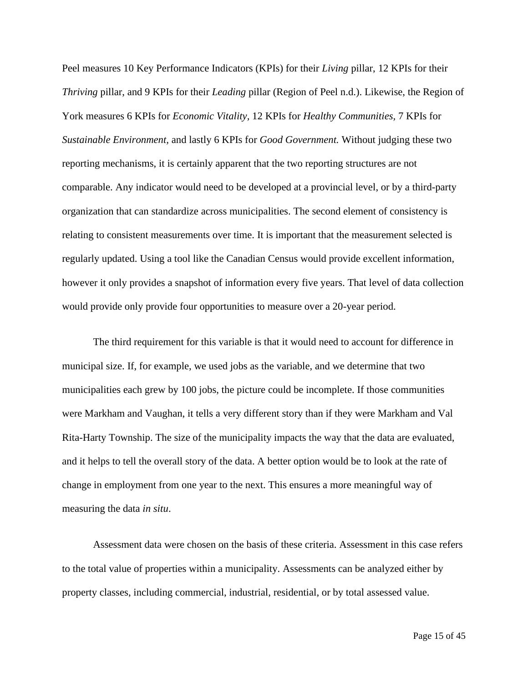Peel measures 10 Key Performance Indicators (KPIs) for their *Living* pillar, 12 KPIs for their *Thriving* pillar, and 9 KPIs for their *Leading* pillar (Region of Peel n.d.). Likewise, the Region of York measures 6 KPIs for *Economic Vitality,* 12 KPIs for *Healthy Communities,* 7 KPIs for *Sustainable Environment,* and lastly 6 KPIs for *Good Government.* Without judging these two reporting mechanisms, it is certainly apparent that the two reporting structures are not comparable. Any indicator would need to be developed at a provincial level, or by a third-party organization that can standardize across municipalities. The second element of consistency is relating to consistent measurements over time. It is important that the measurement selected is regularly updated. Using a tool like the Canadian Census would provide excellent information, however it only provides a snapshot of information every five years. That level of data collection would provide only provide four opportunities to measure over a 20-year period.

The third requirement for this variable is that it would need to account for difference in municipal size. If, for example, we used jobs as the variable, and we determine that two municipalities each grew by 100 jobs, the picture could be incomplete. If those communities were Markham and Vaughan, it tells a very different story than if they were Markham and Val Rita-Harty Township. The size of the municipality impacts the way that the data are evaluated, and it helps to tell the overall story of the data. A better option would be to look at the rate of change in employment from one year to the next. This ensures a more meaningful way of measuring the data *in situ*.

Assessment data were chosen on the basis of these criteria. Assessment in this case refers to the total value of properties within a municipality. Assessments can be analyzed either by property classes, including commercial, industrial, residential, or by total assessed value.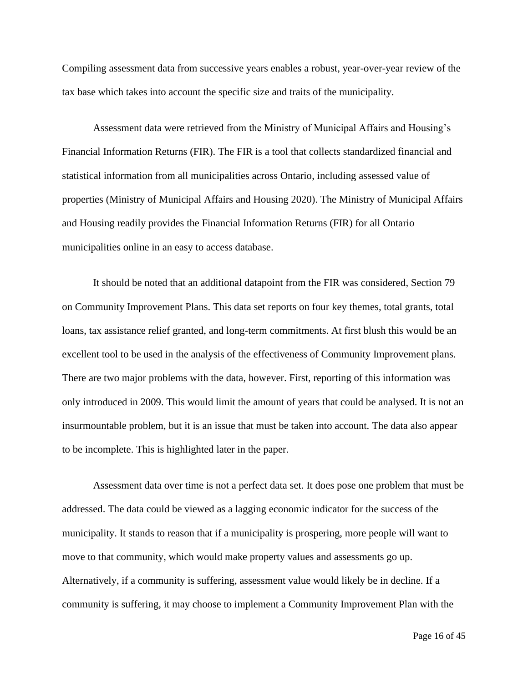Compiling assessment data from successive years enables a robust, year-over-year review of the tax base which takes into account the specific size and traits of the municipality.

Assessment data were retrieved from the Ministry of Municipal Affairs and Housing's Financial Information Returns (FIR). The FIR is a tool that collects standardized financial and statistical information from all municipalities across Ontario, including assessed value of properties (Ministry of Municipal Affairs and Housing 2020). The Ministry of Municipal Affairs and Housing readily provides the Financial Information Returns (FIR) for all Ontario municipalities online in an easy to access database.

It should be noted that an additional datapoint from the FIR was considered, Section 79 on Community Improvement Plans. This data set reports on four key themes, total grants, total loans, tax assistance relief granted, and long-term commitments. At first blush this would be an excellent tool to be used in the analysis of the effectiveness of Community Improvement plans. There are two major problems with the data, however. First, reporting of this information was only introduced in 2009. This would limit the amount of years that could be analysed. It is not an insurmountable problem, but it is an issue that must be taken into account. The data also appear to be incomplete. This is highlighted later in the paper.

Assessment data over time is not a perfect data set. It does pose one problem that must be addressed. The data could be viewed as a lagging economic indicator for the success of the municipality. It stands to reason that if a municipality is prospering, more people will want to move to that community, which would make property values and assessments go up. Alternatively, if a community is suffering, assessment value would likely be in decline. If a community is suffering, it may choose to implement a Community Improvement Plan with the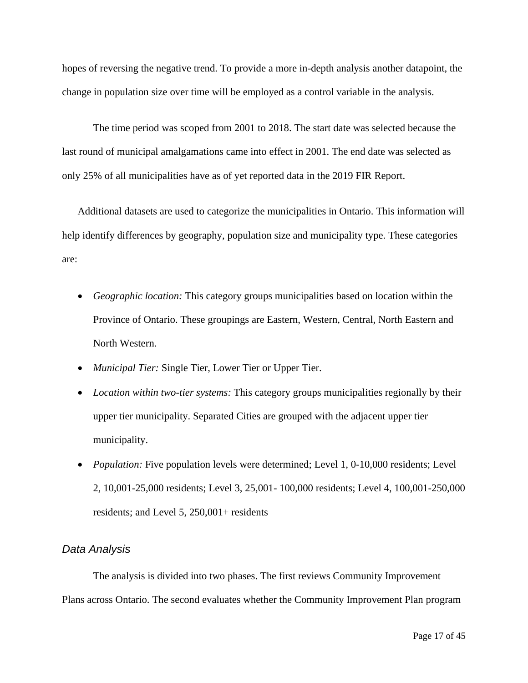hopes of reversing the negative trend. To provide a more in-depth analysis another datapoint, the change in population size over time will be employed as a control variable in the analysis.

The time period was scoped from 2001 to 2018. The start date was selected because the last round of municipal amalgamations came into effect in 2001. The end date was selected as only 25% of all municipalities have as of yet reported data in the 2019 FIR Report.

Additional datasets are used to categorize the municipalities in Ontario. This information will help identify differences by geography, population size and municipality type. These categories are:

- *Geographic location:* This category groups municipalities based on location within the Province of Ontario. These groupings are Eastern, Western, Central, North Eastern and North Western.
- *Municipal Tier:* Single Tier, Lower Tier or Upper Tier.
- *Location within two-tier systems:* This category groups municipalities regionally by their upper tier municipality. Separated Cities are grouped with the adjacent upper tier municipality.
- *Population:* Five population levels were determined; Level 1, 0-10,000 residents; Level 2, 10,001-25,000 residents; Level 3, 25,001- 100,000 residents; Level 4, 100,001-250,000 residents; and Level 5, 250,001+ residents

#### <span id="page-20-0"></span>*Data Analysis*

The analysis is divided into two phases. The first reviews Community Improvement Plans across Ontario. The second evaluates whether the Community Improvement Plan program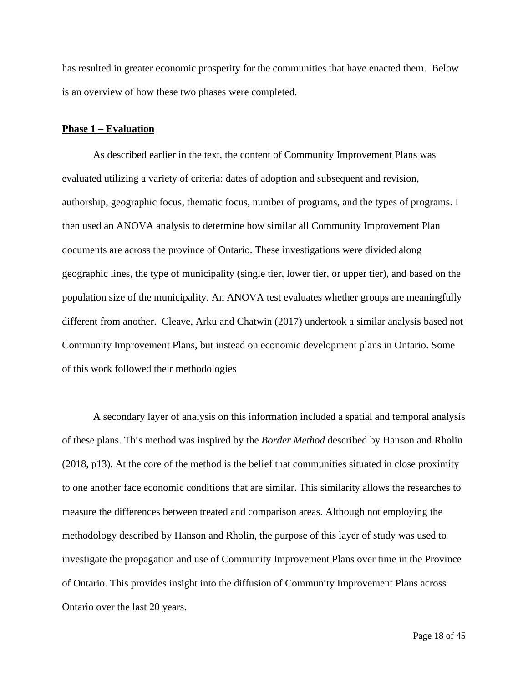has resulted in greater economic prosperity for the communities that have enacted them. Below is an overview of how these two phases were completed.

#### <span id="page-21-0"></span>**Phase 1 – Evaluation**

As described earlier in the text, the content of Community Improvement Plans was evaluated utilizing a variety of criteria: dates of adoption and subsequent and revision, authorship, geographic focus, thematic focus, number of programs, and the types of programs. I then used an ANOVA analysis to determine how similar all Community Improvement Plan documents are across the province of Ontario. These investigations were divided along geographic lines, the type of municipality (single tier, lower tier, or upper tier), and based on the population size of the municipality. An ANOVA test evaluates whether groups are meaningfully different from another. Cleave, Arku and Chatwin (2017) undertook a similar analysis based not Community Improvement Plans, but instead on economic development plans in Ontario. Some of this work followed their methodologies

A secondary layer of analysis on this information included a spatial and temporal analysis of these plans. This method was inspired by the *Border Method* described by Hanson and Rholin (2018, p13). At the core of the method is the belief that communities situated in close proximity to one another face economic conditions that are similar. This similarity allows the researches to measure the differences between treated and comparison areas. Although not employing the methodology described by Hanson and Rholin, the purpose of this layer of study was used to investigate the propagation and use of Community Improvement Plans over time in the Province of Ontario. This provides insight into the diffusion of Community Improvement Plans across Ontario over the last 20 years.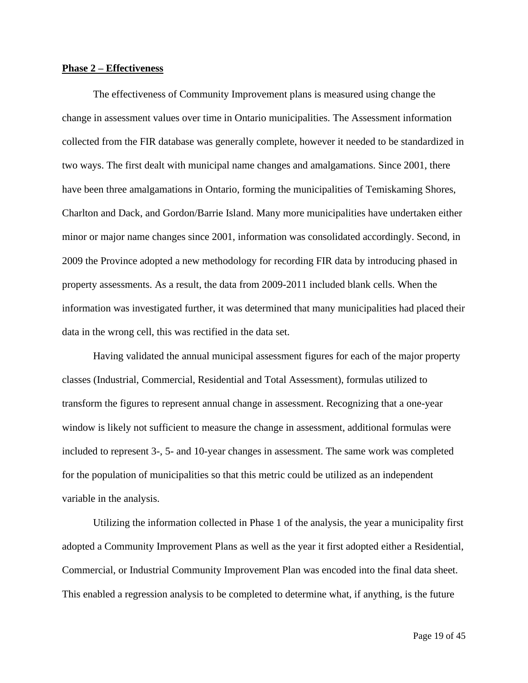#### <span id="page-22-0"></span>**Phase 2 – Effectiveness**

The effectiveness of Community Improvement plans is measured using change the change in assessment values over time in Ontario municipalities. The Assessment information collected from the FIR database was generally complete, however it needed to be standardized in two ways. The first dealt with municipal name changes and amalgamations. Since 2001, there have been three amalgamations in Ontario, forming the municipalities of Temiskaming Shores, Charlton and Dack, and Gordon/Barrie Island. Many more municipalities have undertaken either minor or major name changes since 2001, information was consolidated accordingly. Second, in 2009 the Province adopted a new methodology for recording FIR data by introducing phased in property assessments. As a result, the data from 2009-2011 included blank cells. When the information was investigated further, it was determined that many municipalities had placed their data in the wrong cell, this was rectified in the data set.

Having validated the annual municipal assessment figures for each of the major property classes (Industrial, Commercial, Residential and Total Assessment), formulas utilized to transform the figures to represent annual change in assessment. Recognizing that a one-year window is likely not sufficient to measure the change in assessment, additional formulas were included to represent 3-, 5- and 10-year changes in assessment. The same work was completed for the population of municipalities so that this metric could be utilized as an independent variable in the analysis.

Utilizing the information collected in Phase 1 of the analysis, the year a municipality first adopted a Community Improvement Plans as well as the year it first adopted either a Residential, Commercial, or Industrial Community Improvement Plan was encoded into the final data sheet. This enabled a regression analysis to be completed to determine what, if anything, is the future

Page 19 of 45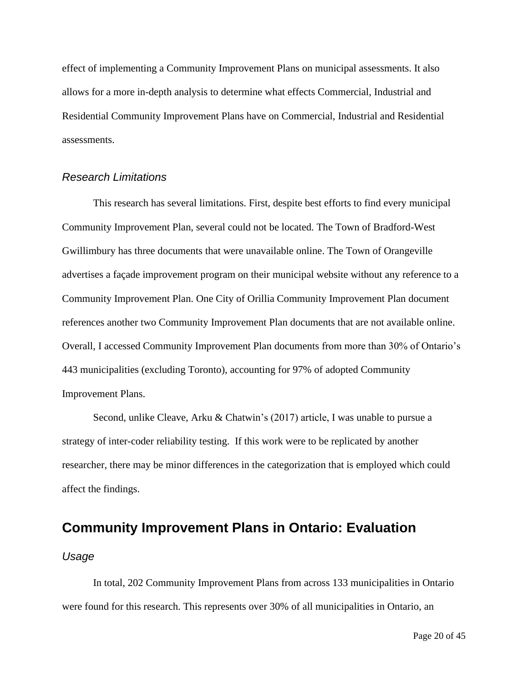effect of implementing a Community Improvement Plans on municipal assessments. It also allows for a more in-depth analysis to determine what effects Commercial, Industrial and Residential Community Improvement Plans have on Commercial, Industrial and Residential assessments.

#### <span id="page-23-0"></span>*Research Limitations*

This research has several limitations. First, despite best efforts to find every municipal Community Improvement Plan, several could not be located. The Town of Bradford-West Gwillimbury has three documents that were unavailable online. The Town of Orangeville advertises a façade improvement program on their municipal website without any reference to a Community Improvement Plan. One City of Orillia Community Improvement Plan document references another two Community Improvement Plan documents that are not available online. Overall, I accessed Community Improvement Plan documents from more than 30% of Ontario's 443 municipalities (excluding Toronto), accounting for 97% of adopted Community Improvement Plans.

Second, unlike Cleave, Arku & Chatwin's (2017) article, I was unable to pursue a strategy of inter-coder reliability testing. If this work were to be replicated by another researcher, there may be minor differences in the categorization that is employed which could affect the findings.

## <span id="page-23-1"></span>**Community Improvement Plans in Ontario: Evaluation**

#### <span id="page-23-2"></span>*Usage*

In total, 202 Community Improvement Plans from across 133 municipalities in Ontario were found for this research. This represents over 30% of all municipalities in Ontario, an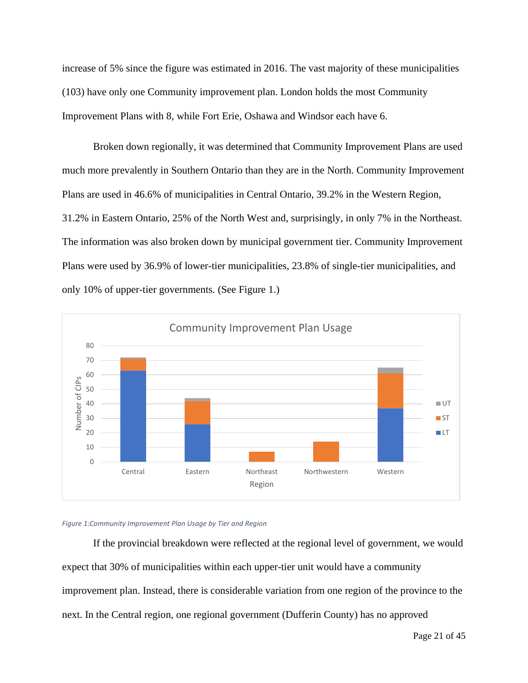increase of 5% since the figure was estimated in 2016. The vast majority of these municipalities (103) have only one Community improvement plan. London holds the most Community Improvement Plans with 8, while Fort Erie, Oshawa and Windsor each have 6.

Broken down regionally, it was determined that Community Improvement Plans are used much more prevalently in Southern Ontario than they are in the North. Community Improvement Plans are used in 46.6% of municipalities in Central Ontario, 39.2% in the Western Region, 31.2% in Eastern Ontario, 25% of the North West and, surprisingly, in only 7% in the Northeast. The information was also broken down by municipal government tier. Community Improvement Plans were used by 36.9% of lower-tier municipalities, 23.8% of single-tier municipalities, and only 10% of upper-tier governments. (See Figure 1.)



#### *Figure 1:Community Improvement Plan Usage by Tier and Region*

If the provincial breakdown were reflected at the regional level of government, we would expect that 30% of municipalities within each upper-tier unit would have a community improvement plan. Instead, there is considerable variation from one region of the province to the next. In the Central region, one regional government (Dufferin County) has no approved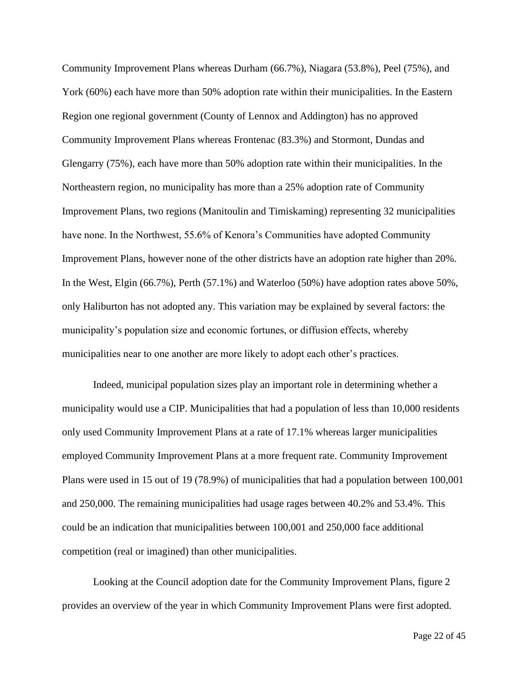Community Improvement Plans whereas Durham (66.7%), Niagara (53.8%), Peel (75%), and York (60%) each have more than 50% adoption rate within their municipalities. In the Eastern Region one regional government (County of Lennox and Addington) has no approved Community Improvement Plans whereas Frontenac (83.3%) and Stormont, Dundas and Glengarry (75%), each have more than 50% adoption rate within their municipalities. In the Northeastern region, no municipality has more than a 25% adoption rate of Community Improvement Plans, two regions (Manitoulin and Timiskaming) representing 32 municipalities have none. In the Northwest, 55.6% of Kenora's Communities have adopted Community Improvement Plans, however none of the other districts have an adoption rate higher than 20%. In the West, Elgin (66.7%), Perth (57.1%) and Waterloo (50%) have adoption rates above 50%, only Haliburton has not adopted any. This variation may be explained by several factors: the municipality's population size and economic fortunes, or diffusion effects, whereby municipalities near to one another are more likely to adopt each other's practices.

Indeed, municipal population sizes play an important role in determining whether a municipality would use a CIP. Municipalities that had a population of less than 10,000 residents only used Community Improvement Plans at a rate of 17.1% whereas larger municipalities employed Community Improvement Plans at a more frequent rate. Community Improvement Plans were used in 15 out of 19 (78.9%) of municipalities that had a population between 100,001 and 250,000. The remaining municipalities had usage rages between 40.2% and 53.4%. This could be an indication that municipalities between 100,001 and 250,000 face additional competition (real or imagined) than other municipalities.

Looking at the Council adoption date for the Community Improvement Plans, figure 2 provides an overview of the year in which Community Improvement Plans were first adopted.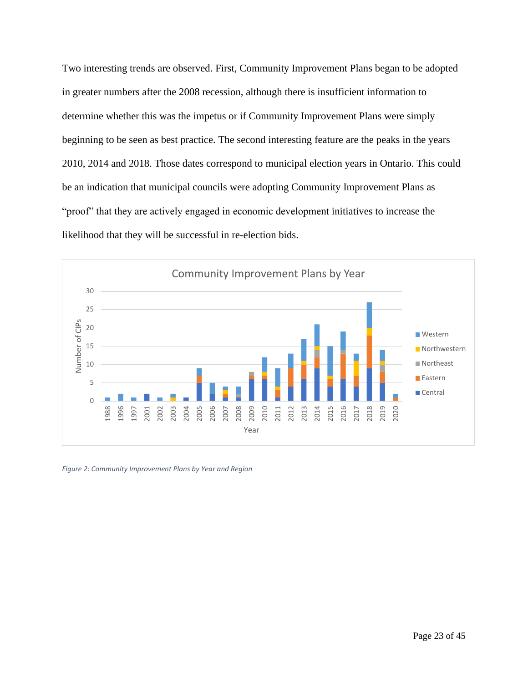Two interesting trends are observed. First, Community Improvement Plans began to be adopted in greater numbers after the 2008 recession, although there is insufficient information to determine whether this was the impetus or if Community Improvement Plans were simply beginning to be seen as best practice. The second interesting feature are the peaks in the years 2010, 2014 and 2018. Those dates correspond to municipal election years in Ontario. This could be an indication that municipal councils were adopting Community Improvement Plans as "proof" that they are actively engaged in economic development initiatives to increase the likelihood that they will be successful in re-election bids.



*Figure 2: Community Improvement Plans by Year and Region*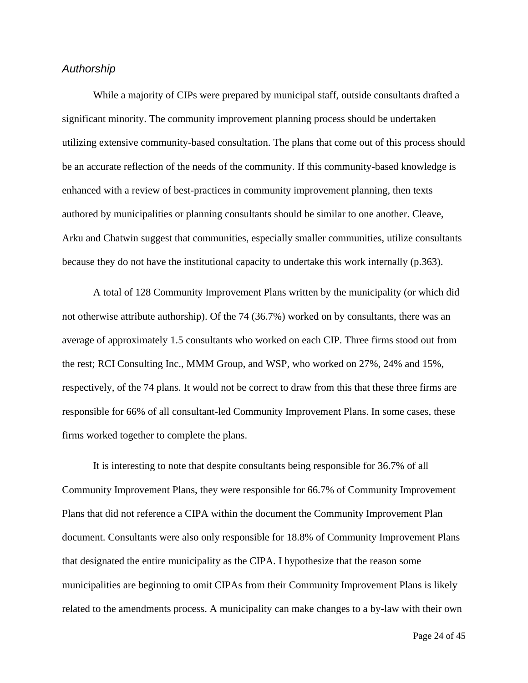#### <span id="page-27-0"></span>*Authorship*

While a majority of CIPs were prepared by municipal staff, outside consultants drafted a significant minority. The community improvement planning process should be undertaken utilizing extensive community-based consultation. The plans that come out of this process should be an accurate reflection of the needs of the community. If this community-based knowledge is enhanced with a review of best-practices in community improvement planning, then texts authored by municipalities or planning consultants should be similar to one another. Cleave, Arku and Chatwin suggest that communities, especially smaller communities, utilize consultants because they do not have the institutional capacity to undertake this work internally (p.363).

A total of 128 Community Improvement Plans written by the municipality (or which did not otherwise attribute authorship). Of the 74 (36.7%) worked on by consultants, there was an average of approximately 1.5 consultants who worked on each CIP. Three firms stood out from the rest; RCI Consulting Inc., MMM Group, and WSP, who worked on 27%, 24% and 15%, respectively, of the 74 plans. It would not be correct to draw from this that these three firms are responsible for 66% of all consultant-led Community Improvement Plans. In some cases, these firms worked together to complete the plans.

It is interesting to note that despite consultants being responsible for 36.7% of all Community Improvement Plans, they were responsible for 66.7% of Community Improvement Plans that did not reference a CIPA within the document the Community Improvement Plan document. Consultants were also only responsible for 18.8% of Community Improvement Plans that designated the entire municipality as the CIPA. I hypothesize that the reason some municipalities are beginning to omit CIPAs from their Community Improvement Plans is likely related to the amendments process. A municipality can make changes to a by-law with their own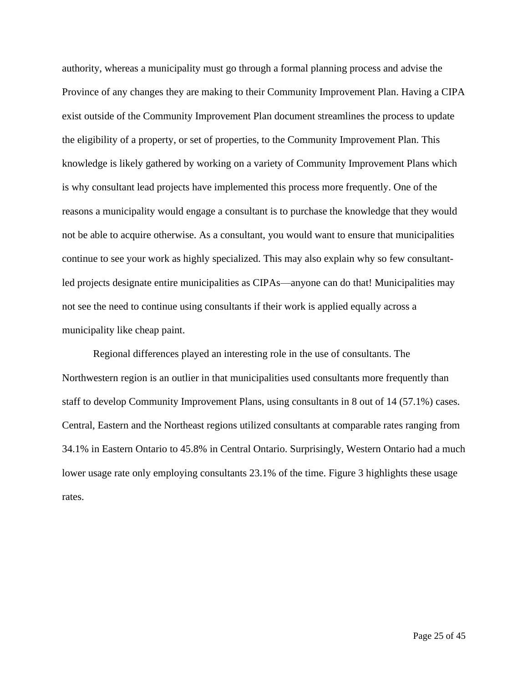authority, whereas a municipality must go through a formal planning process and advise the Province of any changes they are making to their Community Improvement Plan. Having a CIPA exist outside of the Community Improvement Plan document streamlines the process to update the eligibility of a property, or set of properties, to the Community Improvement Plan. This knowledge is likely gathered by working on a variety of Community Improvement Plans which is why consultant lead projects have implemented this process more frequently. One of the reasons a municipality would engage a consultant is to purchase the knowledge that they would not be able to acquire otherwise. As a consultant, you would want to ensure that municipalities continue to see your work as highly specialized. This may also explain why so few consultantled projects designate entire municipalities as CIPAs—anyone can do that! Municipalities may not see the need to continue using consultants if their work is applied equally across a municipality like cheap paint.

Regional differences played an interesting role in the use of consultants. The Northwestern region is an outlier in that municipalities used consultants more frequently than staff to develop Community Improvement Plans, using consultants in 8 out of 14 (57.1%) cases. Central, Eastern and the Northeast regions utilized consultants at comparable rates ranging from 34.1% in Eastern Ontario to 45.8% in Central Ontario. Surprisingly, Western Ontario had a much lower usage rate only employing consultants 23.1% of the time. Figure 3 highlights these usage rates.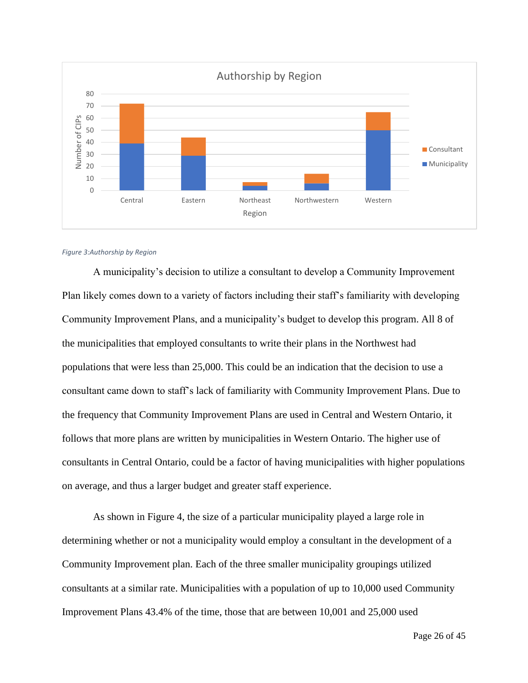

#### *Figure 3:Authorship by Region*

A municipality's decision to utilize a consultant to develop a Community Improvement Plan likely comes down to a variety of factors including their staff's familiarity with developing Community Improvement Plans, and a municipality's budget to develop this program. All 8 of the municipalities that employed consultants to write their plans in the Northwest had populations that were less than 25,000. This could be an indication that the decision to use a consultant came down to staff's lack of familiarity with Community Improvement Plans. Due to the frequency that Community Improvement Plans are used in Central and Western Ontario, it follows that more plans are written by municipalities in Western Ontario. The higher use of consultants in Central Ontario, could be a factor of having municipalities with higher populations on average, and thus a larger budget and greater staff experience.

As shown in Figure 4, the size of a particular municipality played a large role in determining whether or not a municipality would employ a consultant in the development of a Community Improvement plan. Each of the three smaller municipality groupings utilized consultants at a similar rate. Municipalities with a population of up to 10,000 used Community Improvement Plans 43.4% of the time, those that are between 10,001 and 25,000 used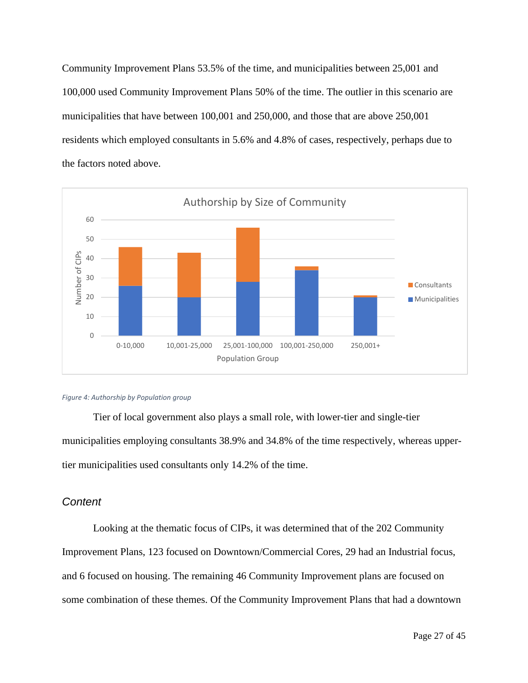Community Improvement Plans 53.5% of the time, and municipalities between 25,001 and 100,000 used Community Improvement Plans 50% of the time. The outlier in this scenario are municipalities that have between 100,001 and 250,000, and those that are above 250,001 residents which employed consultants in 5.6% and 4.8% of cases, respectively, perhaps due to the factors noted above.



#### *Figure 4: Authorship by Population group*

Tier of local government also plays a small role, with lower-tier and single-tier municipalities employing consultants 38.9% and 34.8% of the time respectively, whereas uppertier municipalities used consultants only 14.2% of the time.

#### <span id="page-30-0"></span>*Content*

Looking at the thematic focus of CIPs, it was determined that of the 202 Community Improvement Plans, 123 focused on Downtown/Commercial Cores, 29 had an Industrial focus, and 6 focused on housing. The remaining 46 Community Improvement plans are focused on some combination of these themes. Of the Community Improvement Plans that had a downtown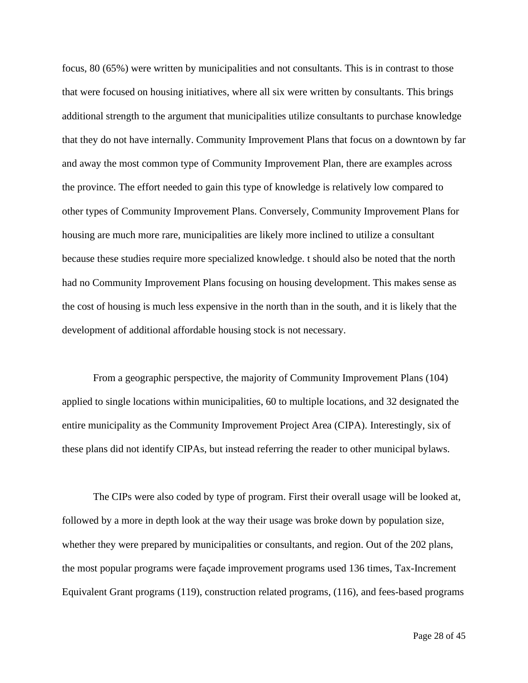focus, 80 (65%) were written by municipalities and not consultants. This is in contrast to those that were focused on housing initiatives, where all six were written by consultants. This brings additional strength to the argument that municipalities utilize consultants to purchase knowledge that they do not have internally. Community Improvement Plans that focus on a downtown by far and away the most common type of Community Improvement Plan, there are examples across the province. The effort needed to gain this type of knowledge is relatively low compared to other types of Community Improvement Plans. Conversely, Community Improvement Plans for housing are much more rare, municipalities are likely more inclined to utilize a consultant because these studies require more specialized knowledge. t should also be noted that the north had no Community Improvement Plans focusing on housing development. This makes sense as the cost of housing is much less expensive in the north than in the south, and it is likely that the development of additional affordable housing stock is not necessary.

From a geographic perspective, the majority of Community Improvement Plans (104) applied to single locations within municipalities, 60 to multiple locations, and 32 designated the entire municipality as the Community Improvement Project Area (CIPA). Interestingly, six of these plans did not identify CIPAs, but instead referring the reader to other municipal bylaws.

The CIPs were also coded by type of program. First their overall usage will be looked at, followed by a more in depth look at the way their usage was broke down by population size, whether they were prepared by municipalities or consultants, and region. Out of the 202 plans, the most popular programs were façade improvement programs used 136 times, Tax-Increment Equivalent Grant programs (119), construction related programs, (116), and fees-based programs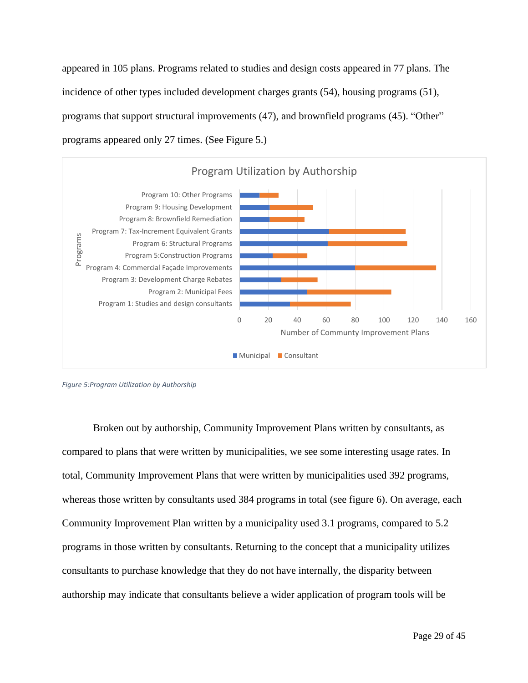appeared in 105 plans. Programs related to studies and design costs appeared in 77 plans. The incidence of other types included development charges grants (54), housing programs (51), programs that support structural improvements (47), and brownfield programs (45). "Other" programs appeared only 27 times. (See Figure 5.)



*Figure 5:Program Utilization by Authorship*

Broken out by authorship, Community Improvement Plans written by consultants, as compared to plans that were written by municipalities, we see some interesting usage rates. In total, Community Improvement Plans that were written by municipalities used 392 programs, whereas those written by consultants used 384 programs in total (see figure 6). On average, each Community Improvement Plan written by a municipality used 3.1 programs, compared to 5.2 programs in those written by consultants. Returning to the concept that a municipality utilizes consultants to purchase knowledge that they do not have internally, the disparity between authorship may indicate that consultants believe a wider application of program tools will be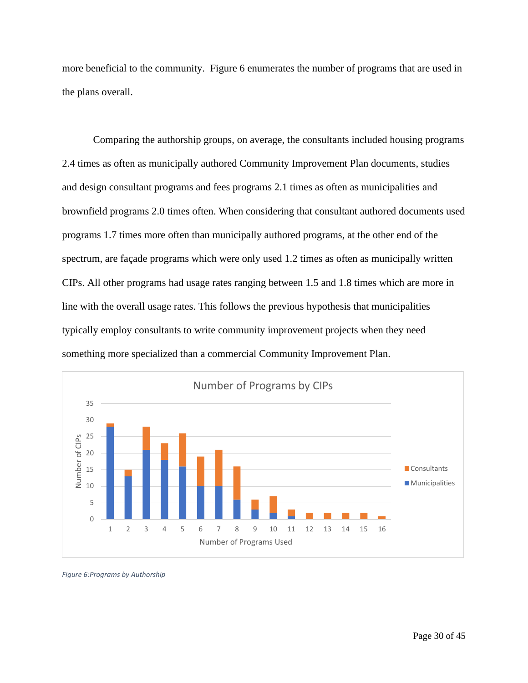more beneficial to the community. Figure 6 enumerates the number of programs that are used in the plans overall.

Comparing the authorship groups, on average, the consultants included housing programs 2.4 times as often as municipally authored Community Improvement Plan documents, studies and design consultant programs and fees programs 2.1 times as often as municipalities and brownfield programs 2.0 times often. When considering that consultant authored documents used programs 1.7 times more often than municipally authored programs, at the other end of the spectrum, are façade programs which were only used 1.2 times as often as municipally written CIPs. All other programs had usage rates ranging between 1.5 and 1.8 times which are more in line with the overall usage rates. This follows the previous hypothesis that municipalities typically employ consultants to write community improvement projects when they need something more specialized than a commercial Community Improvement Plan.



*Figure 6:Programs by Authorship*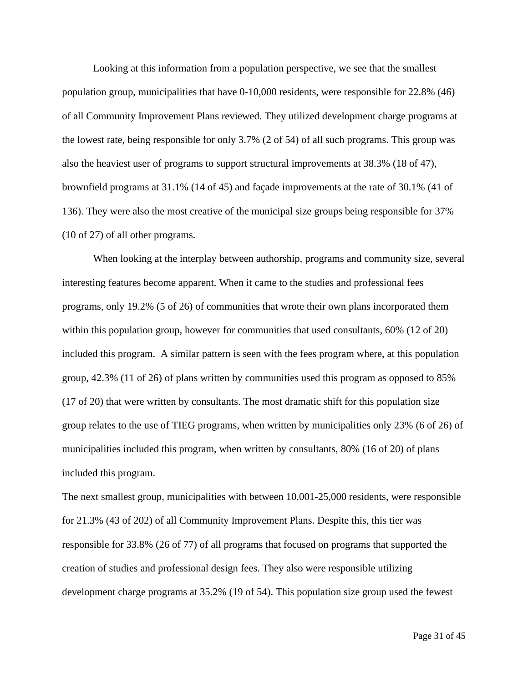Looking at this information from a population perspective, we see that the smallest population group, municipalities that have 0-10,000 residents, were responsible for 22.8% (46) of all Community Improvement Plans reviewed. They utilized development charge programs at the lowest rate, being responsible for only 3.7% (2 of 54) of all such programs. This group was also the heaviest user of programs to support structural improvements at 38.3% (18 of 47), brownfield programs at 31.1% (14 of 45) and façade improvements at the rate of 30.1% (41 of 136). They were also the most creative of the municipal size groups being responsible for 37% (10 of 27) of all other programs.

When looking at the interplay between authorship, programs and community size, several interesting features become apparent. When it came to the studies and professional fees programs, only 19.2% (5 of 26) of communities that wrote their own plans incorporated them within this population group, however for communities that used consultants, 60% (12 of 20) included this program. A similar pattern is seen with the fees program where, at this population group, 42.3% (11 of 26) of plans written by communities used this program as opposed to 85% (17 of 20) that were written by consultants. The most dramatic shift for this population size group relates to the use of TIEG programs, when written by municipalities only 23% (6 of 26) of municipalities included this program, when written by consultants, 80% (16 of 20) of plans included this program.

The next smallest group, municipalities with between 10,001-25,000 residents, were responsible for 21.3% (43 of 202) of all Community Improvement Plans. Despite this, this tier was responsible for 33.8% (26 of 77) of all programs that focused on programs that supported the creation of studies and professional design fees. They also were responsible utilizing development charge programs at 35.2% (19 of 54). This population size group used the fewest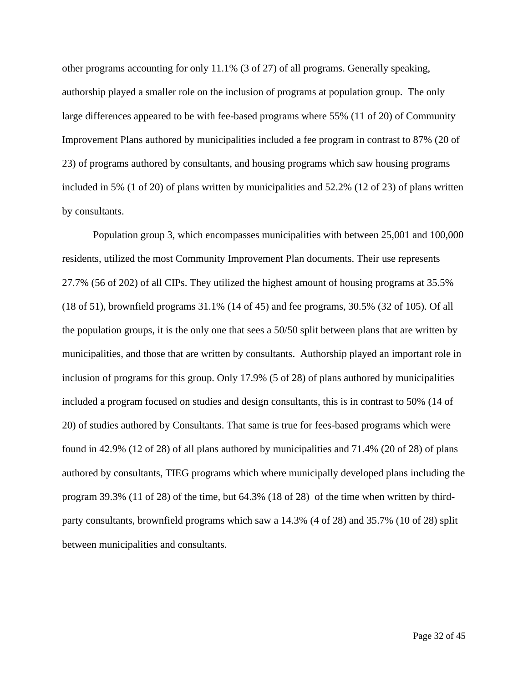other programs accounting for only 11.1% (3 of 27) of all programs. Generally speaking, authorship played a smaller role on the inclusion of programs at population group. The only large differences appeared to be with fee-based programs where 55% (11 of 20) of Community Improvement Plans authored by municipalities included a fee program in contrast to 87% (20 of 23) of programs authored by consultants, and housing programs which saw housing programs included in 5% (1 of 20) of plans written by municipalities and 52.2% (12 of 23) of plans written by consultants.

Population group 3, which encompasses municipalities with between 25,001 and 100,000 residents, utilized the most Community Improvement Plan documents. Their use represents 27.7% (56 of 202) of all CIPs. They utilized the highest amount of housing programs at 35.5% (18 of 51), brownfield programs 31.1% (14 of 45) and fee programs, 30.5% (32 of 105). Of all the population groups, it is the only one that sees a 50/50 split between plans that are written by municipalities, and those that are written by consultants. Authorship played an important role in inclusion of programs for this group. Only 17.9% (5 of 28) of plans authored by municipalities included a program focused on studies and design consultants, this is in contrast to 50% (14 of 20) of studies authored by Consultants. That same is true for fees-based programs which were found in 42.9% (12 of 28) of all plans authored by municipalities and 71.4% (20 of 28) of plans authored by consultants, TIEG programs which where municipally developed plans including the program 39.3% (11 of 28) of the time, but 64.3% (18 of 28) of the time when written by thirdparty consultants, brownfield programs which saw a 14.3% (4 of 28) and 35.7% (10 of 28) split between municipalities and consultants.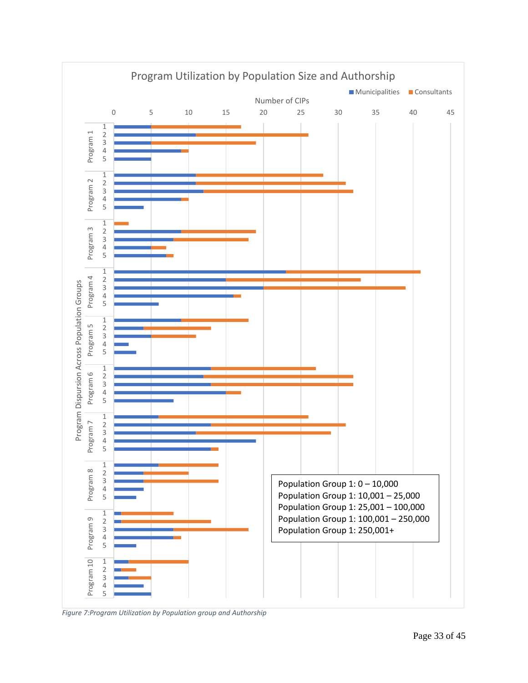

*Figure 7:Program Utilization by Population group and Authorship*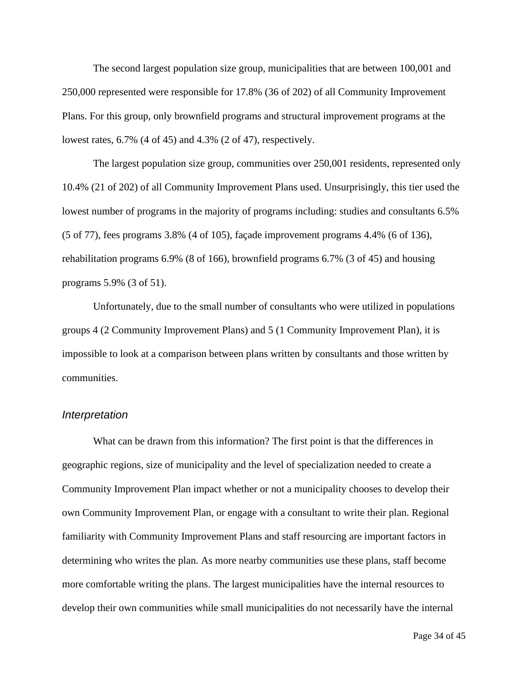The second largest population size group, municipalities that are between 100,001 and 250,000 represented were responsible for 17.8% (36 of 202) of all Community Improvement Plans. For this group, only brownfield programs and structural improvement programs at the lowest rates, 6.7% (4 of 45) and 4.3% (2 of 47), respectively.

The largest population size group, communities over 250,001 residents, represented only 10.4% (21 of 202) of all Community Improvement Plans used. Unsurprisingly, this tier used the lowest number of programs in the majority of programs including: studies and consultants 6.5% (5 of 77), fees programs 3.8% (4 of 105), façade improvement programs 4.4% (6 of 136), rehabilitation programs 6.9% (8 of 166), brownfield programs 6.7% (3 of 45) and housing programs 5.9% (3 of 51).

Unfortunately, due to the small number of consultants who were utilized in populations groups 4 (2 Community Improvement Plans) and 5 (1 Community Improvement Plan), it is impossible to look at a comparison between plans written by consultants and those written by communities.

#### <span id="page-37-0"></span>*Interpretation*

What can be drawn from this information? The first point is that the differences in geographic regions, size of municipality and the level of specialization needed to create a Community Improvement Plan impact whether or not a municipality chooses to develop their own Community Improvement Plan, or engage with a consultant to write their plan. Regional familiarity with Community Improvement Plans and staff resourcing are important factors in determining who writes the plan. As more nearby communities use these plans, staff become more comfortable writing the plans. The largest municipalities have the internal resources to develop their own communities while small municipalities do not necessarily have the internal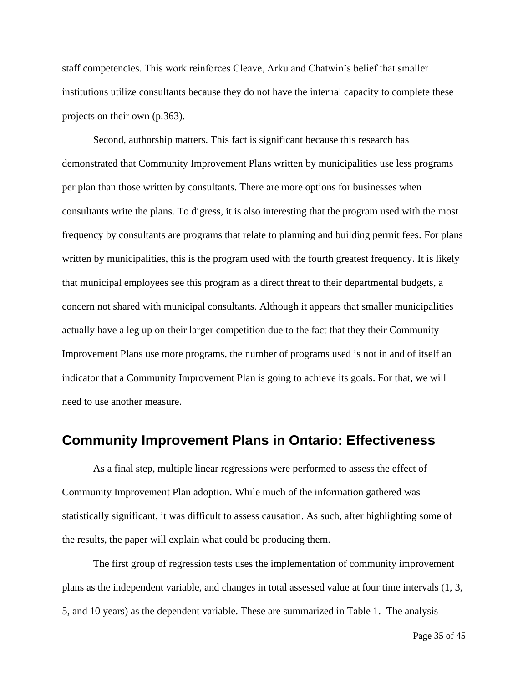staff competencies. This work reinforces Cleave, Arku and Chatwin's belief that smaller institutions utilize consultants because they do not have the internal capacity to complete these projects on their own (p.363).

Second, authorship matters. This fact is significant because this research has demonstrated that Community Improvement Plans written by municipalities use less programs per plan than those written by consultants. There are more options for businesses when consultants write the plans. To digress, it is also interesting that the program used with the most frequency by consultants are programs that relate to planning and building permit fees. For plans written by municipalities, this is the program used with the fourth greatest frequency. It is likely that municipal employees see this program as a direct threat to their departmental budgets, a concern not shared with municipal consultants. Although it appears that smaller municipalities actually have a leg up on their larger competition due to the fact that they their Community Improvement Plans use more programs, the number of programs used is not in and of itself an indicator that a Community Improvement Plan is going to achieve its goals. For that, we will need to use another measure.

### <span id="page-38-0"></span>**Community Improvement Plans in Ontario: Effectiveness**

As a final step, multiple linear regressions were performed to assess the effect of Community Improvement Plan adoption. While much of the information gathered was statistically significant, it was difficult to assess causation. As such, after highlighting some of the results, the paper will explain what could be producing them.

The first group of regression tests uses the implementation of community improvement plans as the independent variable, and changes in total assessed value at four time intervals (1, 3, 5, and 10 years) as the dependent variable. These are summarized in Table 1. The analysis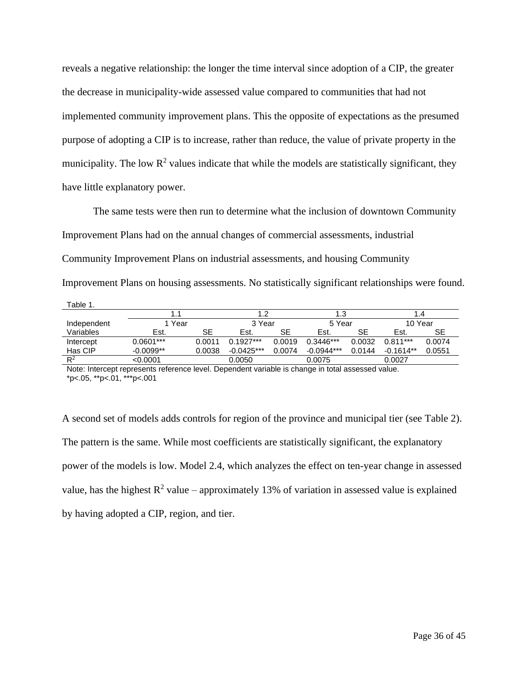reveals a negative relationship: the longer the time interval since adoption of a CIP, the greater the decrease in municipality-wide assessed value compared to communities that had not implemented community improvement plans. This the opposite of expectations as the presumed purpose of adopting a CIP is to increase, rather than reduce, the value of private property in the municipality. The low  $\mathbb{R}^2$  values indicate that while the models are statistically significant, they have little explanatory power.

The same tests were then run to determine what the inclusion of downtown Community Improvement Plans had on the annual changes of commercial assessments, industrial Community Improvement Plans on industrial assessments, and housing Community Improvement Plans on housing assessments. No statistically significant relationships were found. Table 1.

|             |             |        | l.2          |        | 1.3          |        | .4          |        |
|-------------|-------------|--------|--------------|--------|--------------|--------|-------------|--------|
| Independent | 1 Year      |        | 3 Year       |        | 5 Year       |        | 10 Year     |        |
| Variables   | Est.        | SЕ     | Est.         | SE     | Est.         | SE     | Est.        | SE     |
| Intercept   | $0.0601***$ | 0.0011 | $0.1927***$  | 0.0019 | $0.3446***$  | 0.0032 | $0.811***$  | 0.0074 |
| Has CIP     | $-0.0099**$ | 0.0038 | $-0.0425***$ | 0.0074 | $-0.0944***$ | 0.0144 | $-0.1614**$ | 0.0551 |
| $R^2$       | <0.0001     |        | 0.0050       |        | 0.0075       |        | 0.0027      |        |

Note: Intercept represents reference level. Dependent variable is change in total assessed value. \*p<.05, \*\*p<.01, \*\*\*p<.001

A second set of models adds controls for region of the province and municipal tier (see Table 2). The pattern is the same. While most coefficients are statistically significant, the explanatory power of the models is low. Model 2.4, which analyzes the effect on ten-year change in assessed value, has the highest  $R^2$  value – approximately 13% of variation in assessed value is explained by having adopted a CIP, region, and tier.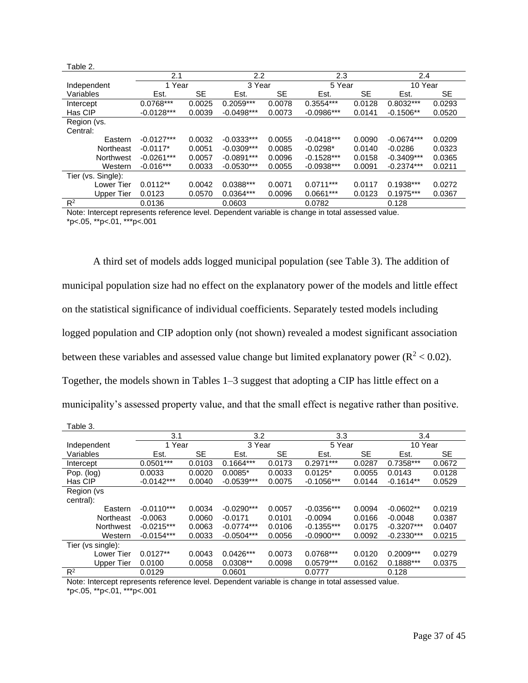| Table 2.           |              |        |                  |           |              |           |              |           |
|--------------------|--------------|--------|------------------|-----------|--------------|-----------|--------------|-----------|
|                    | 2.1          |        | $2.2\phantom{0}$ |           | 2.3          |           | 2.4          |           |
| Independent        | 1 Year       |        | 3 Year           |           | 5 Year       |           | 10 Year      |           |
| Variables          | Est.         | SE     | Est.             | <b>SE</b> | Est.         | <b>SE</b> | Est.         | <b>SE</b> |
| Intercept          | 0.0768***    | 0.0025 | 0.2059***        | 0.0078    | $0.3554***$  | 0.0128    | $0.8032***$  | 0.0293    |
| Has CIP            | $-0.0128***$ | 0.0039 | $-0.0498***$     | 0.0073    | $-0.0986***$ | 0.0141    | $-0.1506**$  | 0.0520    |
| Region (vs.        |              |        |                  |           |              |           |              |           |
| Central:           |              |        |                  |           |              |           |              |           |
| Eastern            | $-0.0127***$ | 0.0032 | $-0.0333***$     | 0.0055    | $-0.0418***$ | 0.0090    | $-0.0674***$ | 0.0209    |
| Northeast          | $-0.0117*$   | 0.0051 | $-0.0309***$     | 0.0085    | $-0.0298*$   | 0.0140    | $-0.0286$    | 0.0323    |
| Northwest          | $-0.0261***$ | 0.0057 | $-0.0891***$     | 0.0096    | $-0.1528***$ | 0.0158    | $-0.3409***$ | 0.0365    |
| Western            | $-0.016***$  | 0.0033 | $-0.0530***$     | 0.0055    | $-0.0938***$ | 0.0091    | $-0.2374***$ | 0.0211    |
| Tier (vs. Single): |              |        |                  |           |              |           |              |           |
| Lower Tier         | $0.0112**$   | 0.0042 | $0.0388***$      | 0.0071    | $0.0711***$  | 0.0117    | $0.1938***$  | 0.0272    |
| <b>Upper Tier</b>  | 0.0123       | 0.0570 | $0.0364***$      | 0.0096    | $0.0661***$  | 0.0123    | $0.1975***$  | 0.0367    |
| $R^2$              | 0.0136       |        | 0.0603           |           | 0.0782       |           | 0.128        |           |

Note: Intercept represents reference level. Dependent variable is change in total assessed value.  $*p$  <.05,  $*p$  <.01,  $**p$  <.001

A third set of models adds logged municipal population (see Table 3). The addition of municipal population size had no effect on the explanatory power of the models and little effect on the statistical significance of individual coefficients. Separately tested models including logged population and CIP adoption only (not shown) revealed a modest significant association between these variables and assessed value change but limited explanatory power ( $R^2$  < 0.02). Together, the models shown in Tables 1–3 suggest that adopting a CIP has little effect on a municipality's assessed property value, and that the small effect is negative rather than positive.

| aule J.           |              |        |              |           |              |           |              |           |  |
|-------------------|--------------|--------|--------------|-----------|--------------|-----------|--------------|-----------|--|
|                   | 3.1          | 3.2    |              | 3.3       |              | 3.4       |              |           |  |
| Independent       | 1 Year       |        | 3 Year       |           |              | 5 Year    |              | 10 Year   |  |
| Variables         | Est.         | SЕ     | Est.         | <b>SE</b> | Est.         | <b>SE</b> | Est.         | <b>SE</b> |  |
| Intercept         | $0.0501***$  | 0.0103 | $0.1664***$  | 0.0173    | $0.2971***$  | 0.0287    | $0.7358***$  | 0.0672    |  |
| Pop. (log)        | 0.0033       | 0.0020 | $0.0085*$    | 0.0033    | $0.0125*$    | 0.0055    | 0.0143       | 0.0128    |  |
| Has CIP           | $-0.0142***$ | 0.0040 | $-0.0539***$ | 0.0075    | $-0.1056***$ | 0.0144    | $-0.1614**$  | 0.0529    |  |
| Region (vs        |              |        |              |           |              |           |              |           |  |
| central):         |              |        |              |           |              |           |              |           |  |
| Eastern           | $-0.0110***$ | 0.0034 | $-0.0290***$ | 0.0057    | $-0.0356***$ | 0.0094    | $-0.0602**$  | 0.0219    |  |
| Northeast         | $-0.0063$    | 0.0060 | $-0.0171$    | 0.0101    | $-0.0094$    | 0.0166    | $-0.0048$    | 0.0387    |  |
| Northwest         | $-0.0215***$ | 0.0063 | $-0.0774***$ | 0.0106    | $-0.1355***$ | 0.0175    | $-0.3207***$ | 0.0407    |  |
| Western           | $-0.0154***$ | 0.0033 | $-0.0504***$ | 0.0056    | $-0.0900***$ | 0.0092    | $-0.2330***$ | 0.0215    |  |
| Tier (vs single): |              |        |              |           |              |           |              |           |  |
| <b>Lower Tier</b> | $0.0127**$   | 0.0043 | $0.0426***$  | 0.0073    | $0.0768***$  | 0.0120    | $0.2009***$  | 0.0279    |  |
| <b>Upper Tier</b> | 0.0100       | 0.0058 | $0.0308**$   | 0.0098    | $0.0579***$  | 0.0162    | $0.1888***$  | 0.0375    |  |
| $R^2$             | 0.0129       |        | 0.0601       |           | 0.0777       |           | 0.128        |           |  |

Note: Intercept represents reference level. Dependent variable is change in total assessed value. \*p<.05, \*\*p<.01, \*\*\*p<.001

Table 3.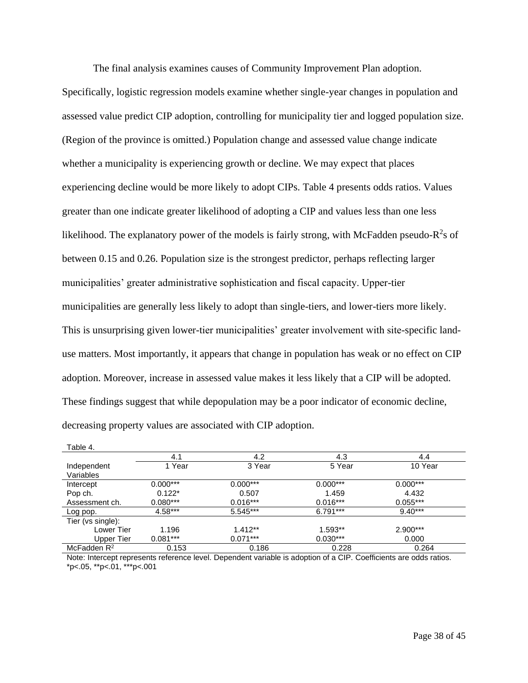The final analysis examines causes of Community Improvement Plan adoption.

Specifically, logistic regression models examine whether single-year changes in population and assessed value predict CIP adoption, controlling for municipality tier and logged population size. (Region of the province is omitted.) Population change and assessed value change indicate whether a municipality is experiencing growth or decline. We may expect that places experiencing decline would be more likely to adopt CIPs. Table 4 presents odds ratios. Values greater than one indicate greater likelihood of adopting a CIP and values less than one less likelihood. The explanatory power of the models is fairly strong, with McFadden pseudo- $R^2$ s of between 0.15 and 0.26. Population size is the strongest predictor, perhaps reflecting larger municipalities' greater administrative sophistication and fiscal capacity. Upper-tier municipalities are generally less likely to adopt than single-tiers, and lower-tiers more likely. This is unsurprising given lower-tier municipalities' greater involvement with site-specific landuse matters. Most importantly, it appears that change in population has weak or no effect on CIP adoption. Moreover, increase in assessed value makes it less likely that a CIP will be adopted. These findings suggest that while depopulation may be a poor indicator of economic decline, decreasing property values are associated with CIP adoption.

| Table 4.                 |            |            |            |            |
|--------------------------|------------|------------|------------|------------|
|                          | 4.1        | 4.2        | 4.3        | 4.4        |
| Independent<br>Variables | 1 Year     | 3 Year     | 5 Year     | 10 Year    |
| Intercept                | $0.000***$ | $0.000***$ | $0.000***$ | $0.000***$ |
| Pop ch.                  | $0.122*$   | 0.507      | 1.459      | 4.432      |
| Assessment ch.           | $0.080***$ | $0.016***$ | $0.016***$ | $0.055***$ |
| Log pop.                 | $4.58***$  | 5.545***   | $6.791***$ | $9.40***$  |
| Tier (vs single):        |            |            |            |            |
| Lower Tier               | 1.196      | $1.412**$  | $1.593**$  | $2.900***$ |
| Upper Tier               | $0.081***$ | $0.071***$ | $0.030***$ | 0.000      |
| McFadden $R^2$           | 0.153      | 0.186      | 0.228      | 0.264      |

Note: Intercept represents reference level. Dependent variable is adoption of a CIP. Coefficients are odds ratios. \*p<.05, \*\*p<.01, \*\*\*p<.001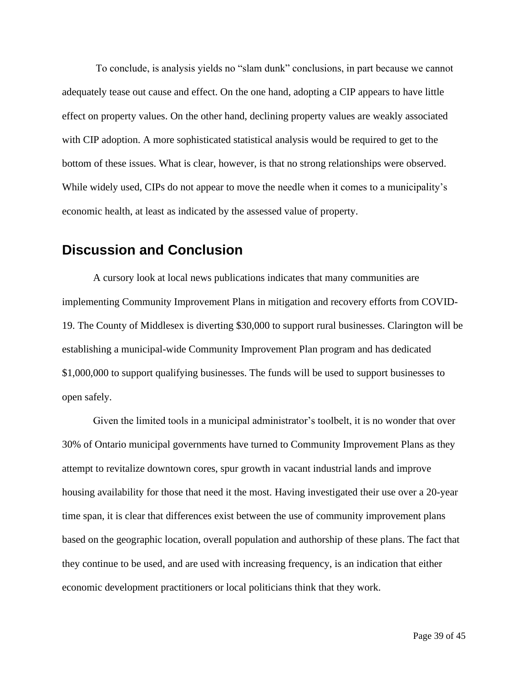To conclude, is analysis yields no "slam dunk" conclusions, in part because we cannot adequately tease out cause and effect. On the one hand, adopting a CIP appears to have little effect on property values. On the other hand, declining property values are weakly associated with CIP adoption. A more sophisticated statistical analysis would be required to get to the bottom of these issues. What is clear, however, is that no strong relationships were observed. While widely used, CIPs do not appear to move the needle when it comes to a municipality's economic health, at least as indicated by the assessed value of property.

### <span id="page-42-0"></span>**Discussion and Conclusion**

A cursory look at local news publications indicates that many communities are implementing Community Improvement Plans in mitigation and recovery efforts from COVID-19. The County of Middlesex is diverting \$30,000 to support rural businesses. Clarington will be establishing a municipal-wide Community Improvement Plan program and has dedicated \$1,000,000 to support qualifying businesses. The funds will be used to support businesses to open safely.

Given the limited tools in a municipal administrator's toolbelt, it is no wonder that over 30% of Ontario municipal governments have turned to Community Improvement Plans as they attempt to revitalize downtown cores, spur growth in vacant industrial lands and improve housing availability for those that need it the most. Having investigated their use over a 20-year time span, it is clear that differences exist between the use of community improvement plans based on the geographic location, overall population and authorship of these plans. The fact that they continue to be used, and are used with increasing frequency, is an indication that either economic development practitioners or local politicians think that they work.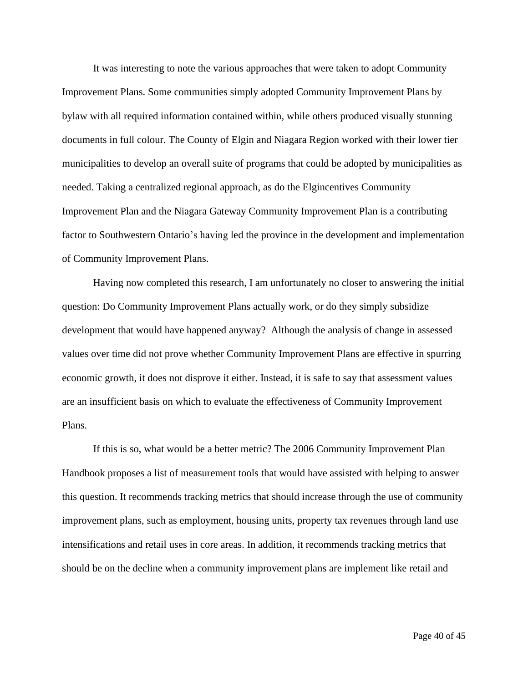It was interesting to note the various approaches that were taken to adopt Community Improvement Plans. Some communities simply adopted Community Improvement Plans by bylaw with all required information contained within, while others produced visually stunning documents in full colour. The County of Elgin and Niagara Region worked with their lower tier municipalities to develop an overall suite of programs that could be adopted by municipalities as needed. Taking a centralized regional approach, as do the Elgincentives Community Improvement Plan and the Niagara Gateway Community Improvement Plan is a contributing factor to Southwestern Ontario's having led the province in the development and implementation of Community Improvement Plans.

Having now completed this research, I am unfortunately no closer to answering the initial question: Do Community Improvement Plans actually work, or do they simply subsidize development that would have happened anyway? Although the analysis of change in assessed values over time did not prove whether Community Improvement Plans are effective in spurring economic growth, it does not disprove it either. Instead, it is safe to say that assessment values are an insufficient basis on which to evaluate the effectiveness of Community Improvement Plans.

If this is so, what would be a better metric? The 2006 Community Improvement Plan Handbook proposes a list of measurement tools that would have assisted with helping to answer this question. It recommends tracking metrics that should increase through the use of community improvement plans, such as employment, housing units, property tax revenues through land use intensifications and retail uses in core areas. In addition, it recommends tracking metrics that should be on the decline when a community improvement plans are implement like retail and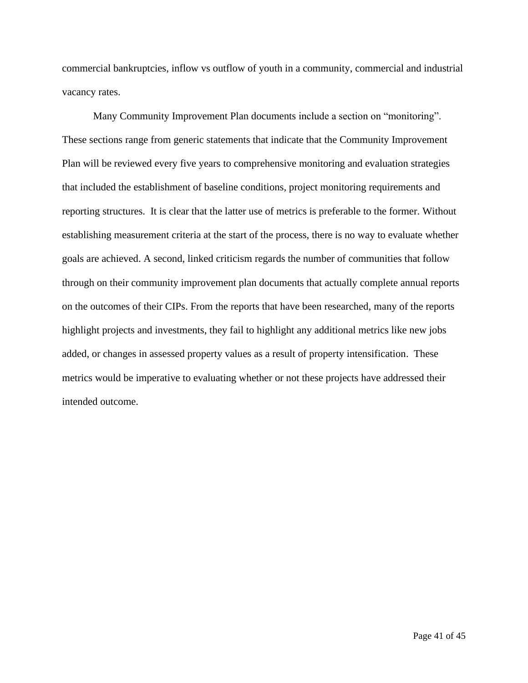commercial bankruptcies, inflow vs outflow of youth in a community, commercial and industrial vacancy rates.

Many Community Improvement Plan documents include a section on "monitoring". These sections range from generic statements that indicate that the Community Improvement Plan will be reviewed every five years to comprehensive monitoring and evaluation strategies that included the establishment of baseline conditions, project monitoring requirements and reporting structures. It is clear that the latter use of metrics is preferable to the former. Without establishing measurement criteria at the start of the process, there is no way to evaluate whether goals are achieved. A second, linked criticism regards the number of communities that follow through on their community improvement plan documents that actually complete annual reports on the outcomes of their CIPs. From the reports that have been researched, many of the reports highlight projects and investments, they fail to highlight any additional metrics like new jobs added, or changes in assessed property values as a result of property intensification. These metrics would be imperative to evaluating whether or not these projects have addressed their intended outcome.